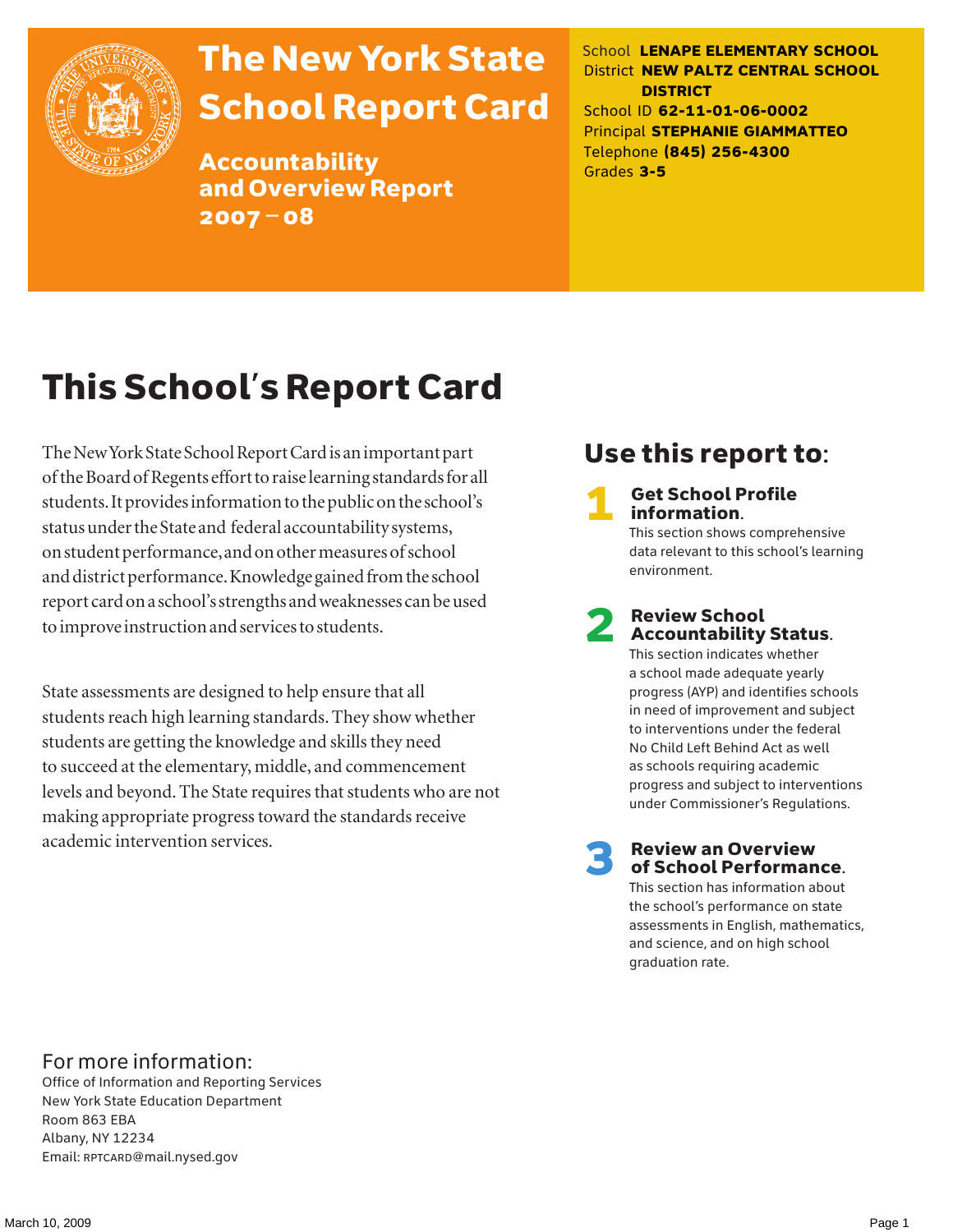

# The New York State School Report Card

Accountability and Overview Report 2007–08

School **LENAPE ELEMENTARY SCHOOL** District **NEW PALTZ CENTRAL SCHOOL DISTRICT** School ID **62-11-01-06-0002** Principal **STEPHANIE GIAMMATTEO** Telephone **(845) 256-4300** Grades **3-5**

# This School's Report Card

The New York State School Report Card is an important part of the Board of Regents effort to raise learning standards for all students. It provides information to the public on the school's status under the State and federal accountability systems, on student performance, and on other measures of school and district performance. Knowledge gained from the school report card on a school's strengths and weaknesses can be used to improve instruction and services to students.

State assessments are designed to help ensure that all students reach high learning standards. They show whether students are getting the knowledge and skills they need to succeed at the elementary, middle, and commencement levels and beyond. The State requires that students who are not making appropriate progress toward the standards receive academic intervention services.

### Use this report to:

**Get School Profile** information.

This section shows comprehensive data relevant to this school's learning environment.

# 2 Review School Accountability Status.

This section indicates whether a school made adequate yearly progress (AYP) and identifies schools in need of improvement and subject to interventions under the federal No Child Left Behind Act as well as schools requiring academic progress and subject to interventions under Commissioner's Regulations.

**Review an Overview** of School Performance.

This section has information about the school's performance on state assessments in English, mathematics, and science, and on high school graduation rate.

### For more information:

Office of Information and Reporting Services New York State Education Department Room 863 EBA Albany, NY 12234 Email: RPTCARD@mail.nysed.gov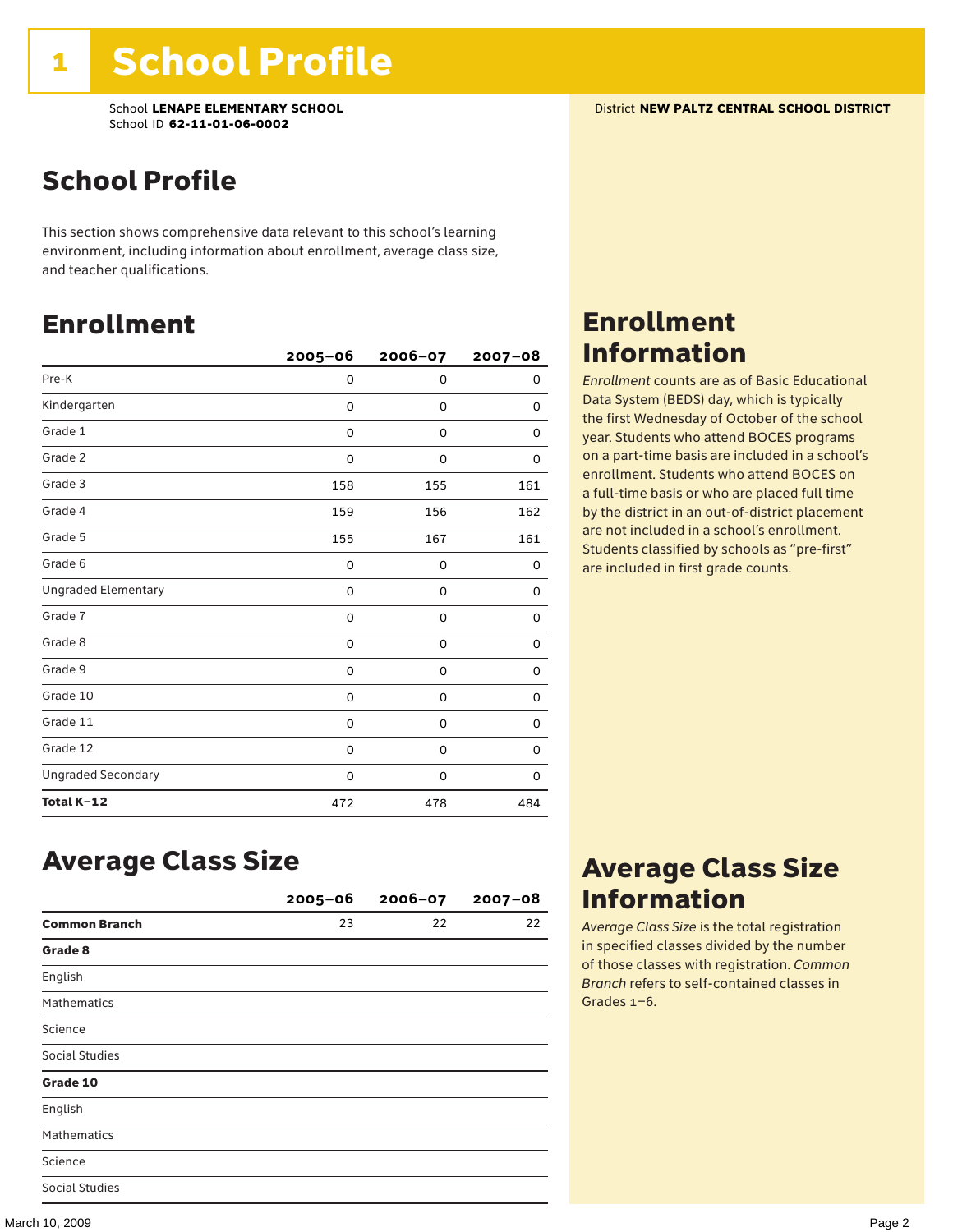### School Profile

This section shows comprehensive data relevant to this school's learning environment, including information about enrollment, average class size, and teacher qualifications.

### Enrollment

|                            | $2005 - 06$ | 2006-07     | $2007 - 08$ |
|----------------------------|-------------|-------------|-------------|
| Pre-K                      | 0           | $\mathbf 0$ | 0           |
| Kindergarten               | 0           | 0           | 0           |
| Grade 1                    | 0           | 0           | 0           |
| Grade 2                    | 0           | 0           | 0           |
| Grade 3                    | 158         | 155         | 161         |
| Grade 4                    | 159         | 156         | 162         |
| Grade 5                    | 155         | 167         | 161         |
| Grade 6                    | 0           | 0           | 0           |
| <b>Ungraded Elementary</b> | $\Omega$    | 0           | 0           |
| Grade 7                    | 0           | 0           | 0           |
| Grade 8                    | 0           | 0           | 0           |
| Grade 9                    | 0           | 0           | 0           |
| Grade 10                   | 0           | 0           | 0           |
| Grade 11                   | 0           | 0           | 0           |
| Grade 12                   | 0           | 0           | 0           |
| <b>Ungraded Secondary</b>  | 0           | 0           | 0           |
| Total K-12                 | 472         | 478         | 484         |

### Enrollment Information

*Enrollment* counts are as of Basic Educational Data System (BEDS) day, which is typically the first Wednesday of October of the school year. Students who attend BOCES programs on a part-time basis are included in a school's enrollment. Students who attend BOCES on a full-time basis or who are placed full time by the district in an out-of-district placement are not included in a school's enrollment. Students classified by schools as "pre-first" are included in first grade counts.

### Average Class Size

|                       | $2005 - 06$ | $2006 - 07$ | $2007 - 08$ |
|-----------------------|-------------|-------------|-------------|
| <b>Common Branch</b>  | 23          | 22          | 22          |
| Grade 8               |             |             |             |
| English               |             |             |             |
| <b>Mathematics</b>    |             |             |             |
| Science               |             |             |             |
| <b>Social Studies</b> |             |             |             |
| Grade 10              |             |             |             |
| English               |             |             |             |
| <b>Mathematics</b>    |             |             |             |
| Science               |             |             |             |
| <b>Social Studies</b> |             |             |             |

### Average Class Size Information

*Average Class Size* is the total registration in specified classes divided by the number of those classes with registration. *Common Branch* refers to self-contained classes in Grades 1–6.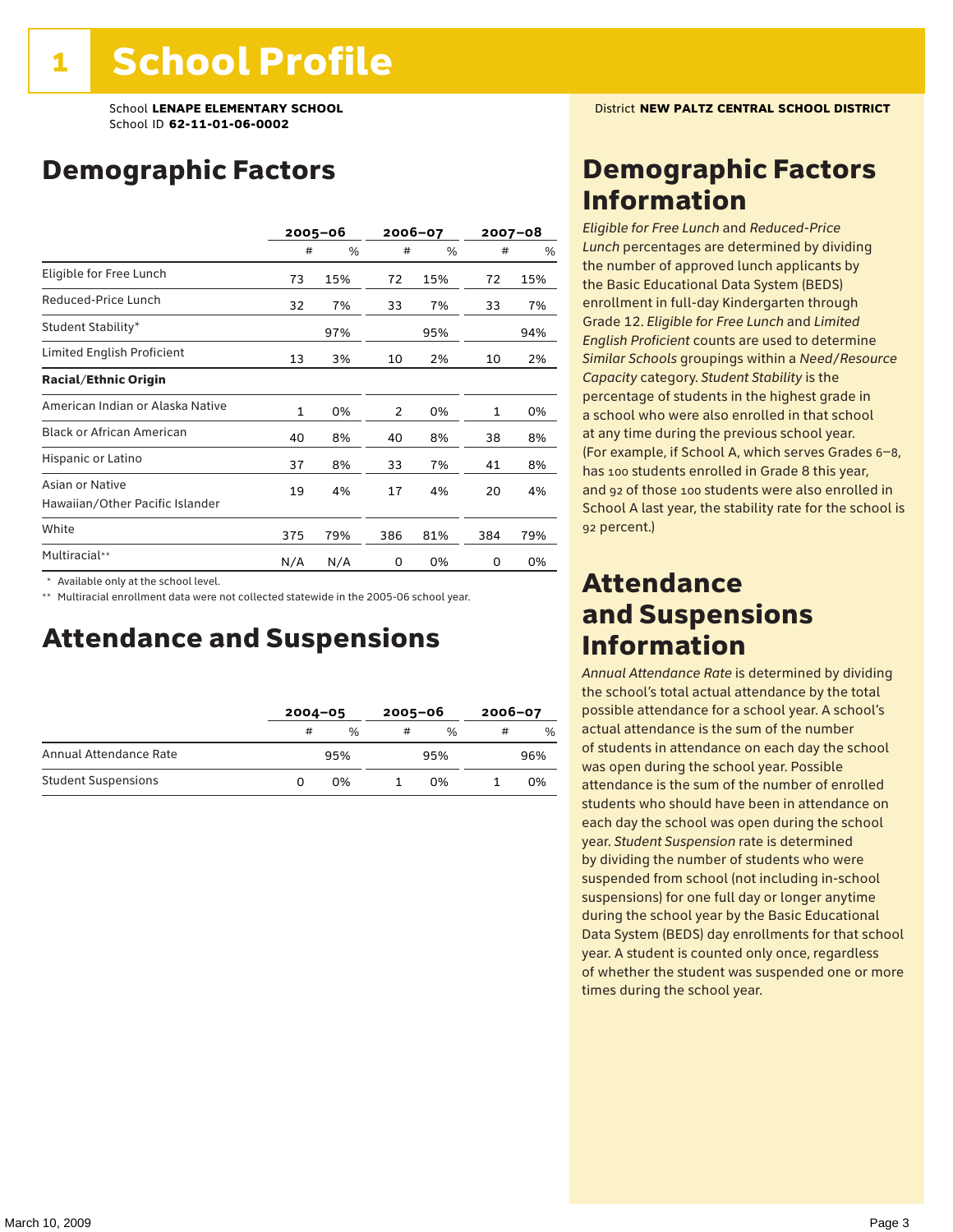## Demographic Factors

|                                                    |     | 2005–06 | 2006-07 |     | $2007 - 08$ |     |
|----------------------------------------------------|-----|---------|---------|-----|-------------|-----|
|                                                    | #   | %       | #       | %   | #           | %   |
| Eligible for Free Lunch                            | 73  | 15%     | 72      | 15% | 72          | 15% |
| Reduced-Price Lunch                                | 32  | 7%      | 33      | 7%  | 33          | 7%  |
| Student Stability*                                 |     | 97%     |         | 95% |             | 94% |
| Limited English Proficient                         | 13  | 3%      | 10      | 2%  | 10          | 2%  |
| <b>Racial/Ethnic Origin</b>                        |     |         |         |     |             |     |
| American Indian or Alaska Native                   | 1   | 0%      | 2       | 0%  | 1           | 0%  |
| <b>Black or African American</b>                   | 40  | 8%      | 40      | 8%  | 38          | 8%  |
| Hispanic or Latino                                 | 37  | 8%      | 33      | 7%  | 41          | 8%  |
| Asian or Native<br>Hawaiian/Other Pacific Islander | 19  | 4%      | 17      | 4%  | 20          | 4%  |
| White                                              | 375 | 79%     | 386     | 81% | 384         | 79% |
| Multiracial**                                      | N/A | N/A     | 0       | 0%  | 0           | 0%  |

\* Available only at the school level.

\*\* Multiracial enrollment data were not collected statewide in the 2005-06 school year.

### Attendance and Suspensions

|                            |   | $2004 - 05$ |   | $2005 - 06$ |   | $2006 - 07$ |  |
|----------------------------|---|-------------|---|-------------|---|-------------|--|
|                            | # | $\%$        | # | $\%$        | # | %           |  |
| Annual Attendance Rate     |   | 95%         |   | 95%         |   | 96%         |  |
| <b>Student Suspensions</b> | O | በ%          |   | በ%          |   | 0%          |  |

### Demographic Factors Information

*Eligible for Free Lunch* and *Reduced*-*Price Lunch* percentages are determined by dividing the number of approved lunch applicants by the Basic Educational Data System (BEDS) enrollment in full-day Kindergarten through Grade 12. *Eligible for Free Lunch* and *Limited English Proficient* counts are used to determine *Similar Schools* groupings within a *Need*/*Resource Capacity* category. *Student Stability* is the percentage of students in the highest grade in a school who were also enrolled in that school at any time during the previous school year. (For example, if School A, which serves Grades 6–8, has 100 students enrolled in Grade 8 this year, and 92 of those 100 students were also enrolled in School A last year, the stability rate for the school is 92 percent.)

### Attendance and Suspensions Information

*Annual Attendance Rate* is determined by dividing the school's total actual attendance by the total possible attendance for a school year. A school's actual attendance is the sum of the number of students in attendance on each day the school was open during the school year. Possible attendance is the sum of the number of enrolled students who should have been in attendance on each day the school was open during the school year. *Student Suspension* rate is determined by dividing the number of students who were suspended from school (not including in-school suspensions) for one full day or longer anytime during the school year by the Basic Educational Data System (BEDS) day enrollments for that school year. A student is counted only once, regardless of whether the student was suspended one or more times during the school year.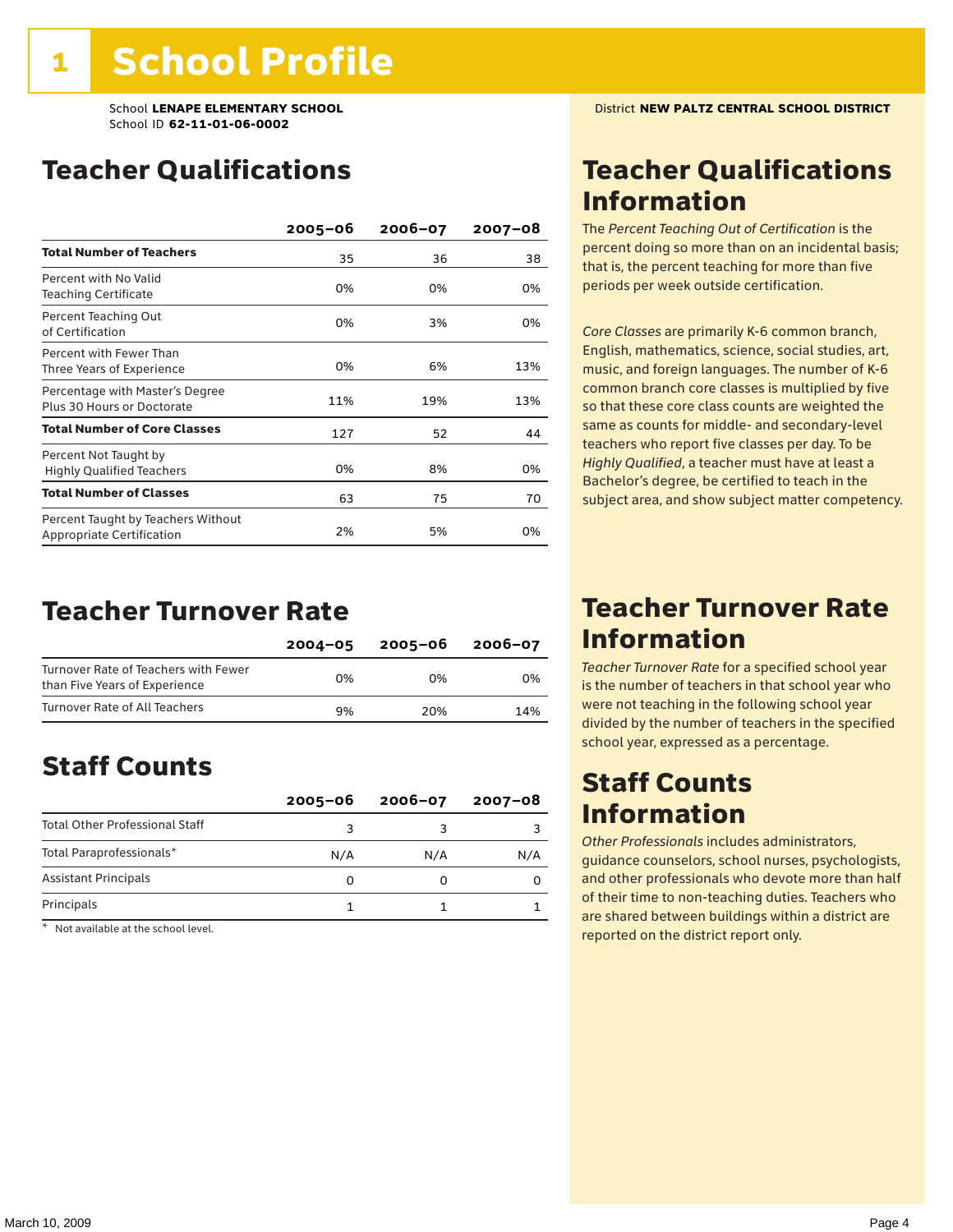## Teacher Qualifications

|                                                                        | $2005 - 06$ | $2006 - 07$ | $2007 - 08$ |
|------------------------------------------------------------------------|-------------|-------------|-------------|
| <b>Total Number of Teachers</b>                                        | 35          | 36          | 38          |
| Percent with No Valid<br><b>Teaching Certificate</b>                   | 0%          | 0%          | 0%          |
| Percent Teaching Out<br>of Certification                               | 0%          | 3%          | 0%          |
| Percent with Fewer Than<br>Three Years of Experience                   | 0%          | 6%          | 13%         |
| Percentage with Master's Degree<br>Plus 30 Hours or Doctorate          | 11%         | 19%         | 13%         |
| <b>Total Number of Core Classes</b>                                    | 127         | 52          | 44          |
| Percent Not Taught by<br><b>Highly Qualified Teachers</b>              | 0%          | 8%          | 0%          |
| <b>Total Number of Classes</b>                                         | 63          | 75          | 70          |
| Percent Taught by Teachers Without<br><b>Appropriate Certification</b> | 2%          | 5%          | 0%          |

### Teacher Turnover Rate

|                                                                       | $2004 - 05$ | 2005-06 | 2006-07 |
|-----------------------------------------------------------------------|-------------|---------|---------|
| Turnover Rate of Teachers with Fewer<br>than Five Years of Experience | በ%          | በ%      | በ%      |
| Turnover Rate of All Teachers                                         | 9%          | 20%     | 14%     |

## Staff Counts

|                                       | $2005 - 06$ | $2006 - 07$ | 2007-08 |
|---------------------------------------|-------------|-------------|---------|
| <b>Total Other Professional Staff</b> |             |             |         |
| Total Paraprofessionals*              | N/A         | N/A         | N/A     |
| <b>Assistant Principals</b>           |             |             |         |
| Principals                            |             |             |         |

\* Not available at the school level.

### Teacher Qualifications Information

The *Percent Teaching Out of Certification* is the percent doing so more than on an incidental basis; that is, the percent teaching for more than five periods per week outside certification.

*Core Classes* are primarily K-6 common branch, English, mathematics, science, social studies, art, music, and foreign languages. The number of K-6 common branch core classes is multiplied by five so that these core class counts are weighted the same as counts for middle- and secondary-level teachers who report five classes per day. To be *Highly Qualified*, a teacher must have at least a Bachelor's degree, be certified to teach in the subject area, and show subject matter competency.

### Teacher Turnover Rate Information

*Teacher Turnover Rate* for a specified school year is the number of teachers in that school year who were not teaching in the following school year divided by the number of teachers in the specified school year, expressed as a percentage.

### Staff Counts Information

*Other Professionals* includes administrators, guidance counselors, school nurses, psychologists, and other professionals who devote more than half of their time to non-teaching duties. Teachers who are shared between buildings within a district are reported on the district report only.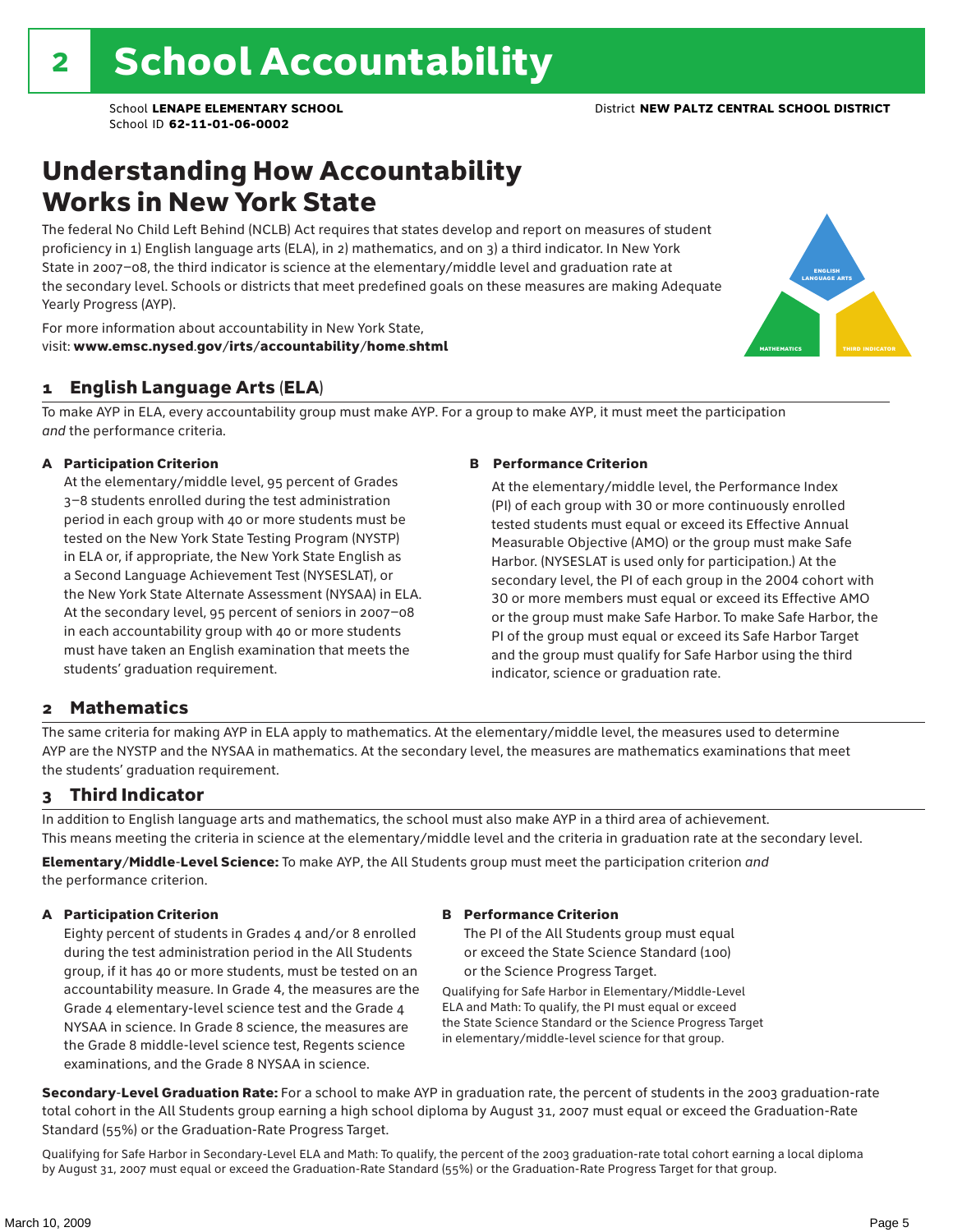### Understanding How Accountability Works in New York State

The federal No Child Left Behind (NCLB) Act requires that states develop and report on measures of student proficiency in 1) English language arts (ELA), in 2) mathematics, and on 3) a third indicator. In New York State in 2007–08, the third indicator is science at the elementary/middle level and graduation rate at the secondary level. Schools or districts that meet predefined goals on these measures are making Adequate Yearly Progress (AYP).



For more information about accountability in New York State, visit: www.emsc.nysed.gov/irts/accountability/home.shtml

### 1 English Language Arts (ELA)

To make AYP in ELA, every accountability group must make AYP. For a group to make AYP, it must meet the participation *and* the performance criteria.

#### A Participation Criterion

At the elementary/middle level, 95 percent of Grades 3–8 students enrolled during the test administration period in each group with 40 or more students must be tested on the New York State Testing Program (NYSTP) in ELA or, if appropriate, the New York State English as a Second Language Achievement Test (NYSESLAT), or the New York State Alternate Assessment (NYSAA) in ELA. At the secondary level, 95 percent of seniors in 2007–08 in each accountability group with 40 or more students must have taken an English examination that meets the students' graduation requirement.

#### B Performance Criterion

At the elementary/middle level, the Performance Index (PI) of each group with 30 or more continuously enrolled tested students must equal or exceed its Effective Annual Measurable Objective (AMO) or the group must make Safe Harbor. (NYSESLAT is used only for participation.) At the secondary level, the PI of each group in the 2004 cohort with 30 or more members must equal or exceed its Effective AMO or the group must make Safe Harbor. To make Safe Harbor, the PI of the group must equal or exceed its Safe Harbor Target and the group must qualify for Safe Harbor using the third indicator, science or graduation rate.

### 2 Mathematics

The same criteria for making AYP in ELA apply to mathematics. At the elementary/middle level, the measures used to determine AYP are the NYSTP and the NYSAA in mathematics. At the secondary level, the measures are mathematics examinations that meet the students' graduation requirement.

### 3 Third Indicator

In addition to English language arts and mathematics, the school must also make AYP in a third area of achievement. This means meeting the criteria in science at the elementary/middle level and the criteria in graduation rate at the secondary level.

Elementary/Middle-Level Science: To make AYP, the All Students group must meet the participation criterion *and* the performance criterion.

#### A Participation Criterion

Eighty percent of students in Grades 4 and/or 8 enrolled during the test administration period in the All Students group, if it has 40 or more students, must be tested on an accountability measure. In Grade 4, the measures are the Grade 4 elementary-level science test and the Grade 4 NYSAA in science. In Grade 8 science, the measures are the Grade 8 middle-level science test, Regents science examinations, and the Grade 8 NYSAA in science.

#### B Performance Criterion

The PI of the All Students group must equal or exceed the State Science Standard (100) or the Science Progress Target.

Qualifying for Safe Harbor in Elementary/Middle-Level ELA and Math: To qualify, the PI must equal or exceed the State Science Standard or the Science Progress Target in elementary/middle-level science for that group.

Secondary-Level Graduation Rate: For a school to make AYP in graduation rate, the percent of students in the 2003 graduation-rate total cohort in the All Students group earning a high school diploma by August 31, 2007 must equal or exceed the Graduation-Rate Standard (55%) or the Graduation-Rate Progress Target.

Qualifying for Safe Harbor in Secondary-Level ELA and Math: To qualify, the percent of the 2003 graduation-rate total cohort earning a local diploma by August 31, 2007 must equal or exceed the Graduation-Rate Standard (55%) or the Graduation-Rate Progress Target for that group.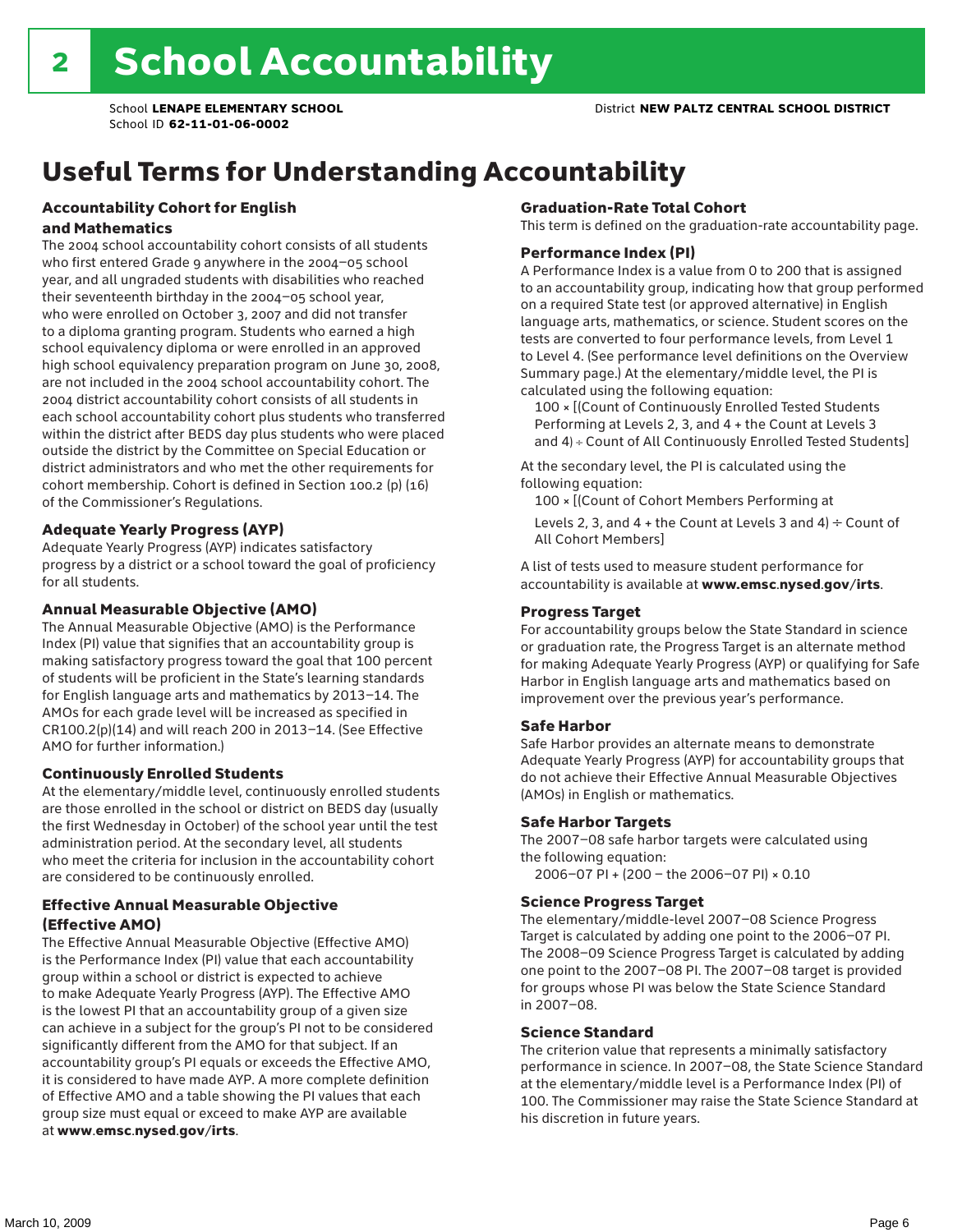# Useful Terms for Understanding Accountability

#### Accountability Cohort for English and Mathematics

The 2004 school accountability cohort consists of all students who first entered Grade 9 anywhere in the 2004–05 school year, and all ungraded students with disabilities who reached their seventeenth birthday in the 2004–05 school year, who were enrolled on October 3, 2007 and did not transfer to a diploma granting program. Students who earned a high school equivalency diploma or were enrolled in an approved high school equivalency preparation program on June 30, 2008, are not included in the 2004 school accountability cohort. The 2004 district accountability cohort consists of all students in each school accountability cohort plus students who transferred within the district after BEDS day plus students who were placed outside the district by the Committee on Special Education or district administrators and who met the other requirements for cohort membership. Cohort is defined in Section 100.2 (p) (16) of the Commissioner's Regulations.

#### Adequate Yearly Progress (AYP)

Adequate Yearly Progress (AYP) indicates satisfactory progress by a district or a school toward the goal of proficiency for all students.

#### Annual Measurable Objective (AMO)

The Annual Measurable Objective (AMO) is the Performance Index (PI) value that signifies that an accountability group is making satisfactory progress toward the goal that 100 percent of students will be proficient in the State's learning standards for English language arts and mathematics by 2013–14. The AMOs for each grade level will be increased as specified in CR100.2(p)(14) and will reach 200 in 2013–14. (See Effective AMO for further information.)

#### Continuously Enrolled Students

At the elementary/middle level, continuously enrolled students are those enrolled in the school or district on BEDS day (usually the first Wednesday in October) of the school year until the test administration period. At the secondary level, all students who meet the criteria for inclusion in the accountability cohort are considered to be continuously enrolled.

#### Effective Annual Measurable Objective (Effective AMO)

The Effective Annual Measurable Objective (Effective AMO) is the Performance Index (PI) value that each accountability group within a school or district is expected to achieve to make Adequate Yearly Progress (AYP). The Effective AMO is the lowest PI that an accountability group of a given size can achieve in a subject for the group's PI not to be considered significantly different from the AMO for that subject. If an accountability group's PI equals or exceeds the Effective AMO, it is considered to have made AYP. A more complete definition of Effective AMO and a table showing the PI values that each group size must equal or exceed to make AYP are available at www.emsc.nysed.gov/irts.

#### Graduation-Rate Total Cohort

This term is defined on the graduation-rate accountability page.

#### Performance Index (PI)

A Performance Index is a value from 0 to 200 that is assigned to an accountability group, indicating how that group performed on a required State test (or approved alternative) in English language arts, mathematics, or science. Student scores on the tests are converted to four performance levels, from Level 1 to Level 4. (See performance level definitions on the Overview Summary page.) At the elementary/middle level, the PI is calculated using the following equation:

100 × [(Count of Continuously Enrolled Tested Students Performing at Levels 2, 3, and 4 + the Count at Levels 3 and 4) ÷ Count of All Continuously Enrolled Tested Students]

At the secondary level, the PI is calculated using the following equation:

100 × [(Count of Cohort Members Performing at

Levels 2, 3, and 4 + the Count at Levels 3 and 4)  $\div$  Count of All Cohort Members]

A list of tests used to measure student performance for accountability is available at www.emsc.nysed.gov/irts.

#### Progress Target

For accountability groups below the State Standard in science or graduation rate, the Progress Target is an alternate method for making Adequate Yearly Progress (AYP) or qualifying for Safe Harbor in English language arts and mathematics based on improvement over the previous year's performance.

#### Safe Harbor

Safe Harbor provides an alternate means to demonstrate Adequate Yearly Progress (AYP) for accountability groups that do not achieve their Effective Annual Measurable Objectives (AMOs) in English or mathematics.

#### Safe Harbor Targets

The 2007–08 safe harbor targets were calculated using the following equation:

2006–07 PI + (200 – the 2006–07 PI) × 0.10

#### Science Progress Target

The elementary/middle-level 2007–08 Science Progress Target is calculated by adding one point to the 2006–07 PI. The 2008–09 Science Progress Target is calculated by adding one point to the 2007–08 PI. The 2007–08 target is provided for groups whose PI was below the State Science Standard in 2007–08.

#### Science Standard

The criterion value that represents a minimally satisfactory performance in science. In 2007–08, the State Science Standard at the elementary/middle level is a Performance Index (PI) of 100. The Commissioner may raise the State Science Standard at his discretion in future years.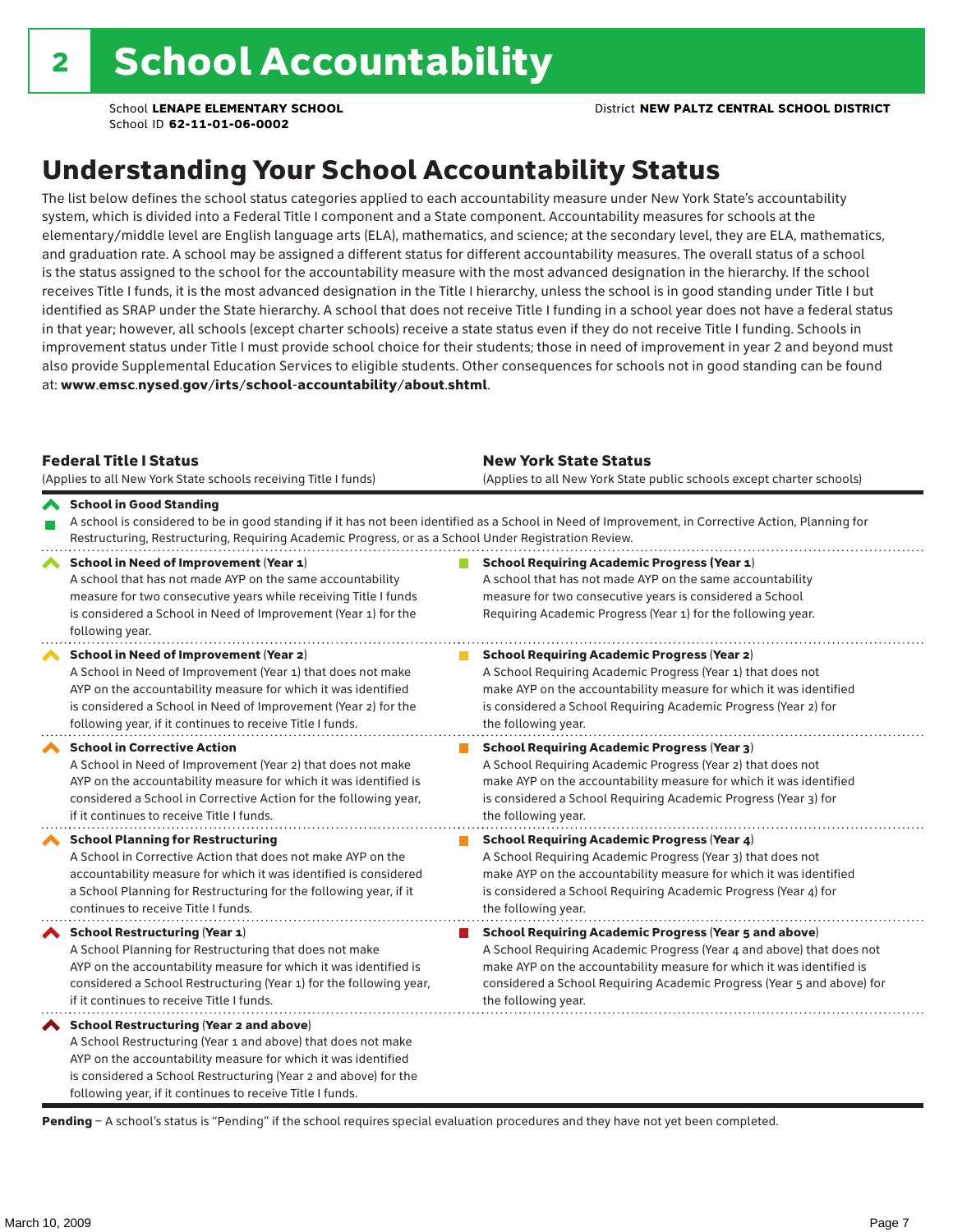# Understanding Your School Accountability Status

The list below defines the school status categories applied to each accountability measure under New York State's accountability system, which is divided into a Federal Title I component and a State component. Accountability measures for schools at the elementary/middle level are English language arts (ELA), mathematics, and science; at the secondary level, they are ELA, mathematics, and graduation rate. A school may be assigned a different status for different accountability measures. The overall status of a school is the status assigned to the school for the accountability measure with the most advanced designation in the hierarchy. If the school receives Title I funds, it is the most advanced designation in the Title I hierarchy, unless the school is in good standing under Title I but identified as SRAP under the State hierarchy. A school that does not receive Title I funding in a school year does not have a federal status in that year; however, all schools (except charter schools) receive a state status even if they do not receive Title I funding. Schools in improvement status under Title I must provide school choice for their students; those in need of improvement in year 2 and beyond must also provide Supplemental Education Services to eligible students. Other consequences for schools not in good standing can be found at: www.emsc.nysed.gov/irts/school-accountability/about.shtml.

| <b>Federal Title I Status</b><br>(Applies to all New York State schools receiving Title I funds)                                                                                                                                                                                                                | <b>New York State Status</b><br>(Applies to all New York State public schools except charter schools)                                                                                                                                                                                                           |
|-----------------------------------------------------------------------------------------------------------------------------------------------------------------------------------------------------------------------------------------------------------------------------------------------------------------|-----------------------------------------------------------------------------------------------------------------------------------------------------------------------------------------------------------------------------------------------------------------------------------------------------------------|
| School in Good Standing<br>Restructuring, Restructuring, Requiring Academic Progress, or as a School Under Registration Review.                                                                                                                                                                                 | A school is considered to be in good standing if it has not been identified as a School in Need of Improvement, in Corrective Action, Planning for                                                                                                                                                              |
| School in Need of Improvement (Year 1)<br>A school that has not made AYP on the same accountability<br>measure for two consecutive years while receiving Title I funds<br>is considered a School in Need of Improvement (Year 1) for the<br>following year.                                                     | <b>School Requiring Academic Progress (Year 1)</b><br>A school that has not made AYP on the same accountability<br>measure for two consecutive years is considered a School<br>Requiring Academic Progress (Year 1) for the following year.                                                                     |
| <b>School in Need of Improvement (Year 2)</b><br>A School in Need of Improvement (Year 1) that does not make<br>AYP on the accountability measure for which it was identified<br>is considered a School in Need of Improvement (Year 2) for the<br>following year, if it continues to receive Title I funds.    | <b>School Requiring Academic Progress (Year 2)</b><br>A School Requiring Academic Progress (Year 1) that does not<br>make AYP on the accountability measure for which it was identified<br>is considered a School Requiring Academic Progress (Year 2) for<br>the following year.                               |
| <b>School in Corrective Action</b><br>A School in Need of Improvement (Year 2) that does not make<br>AYP on the accountability measure for which it was identified is<br>considered a School in Corrective Action for the following year,<br>if it continues to receive Title I funds.                          | <b>School Requiring Academic Progress (Year 3)</b><br>A School Requiring Academic Progress (Year 2) that does not<br>make AYP on the accountability measure for which it was identified<br>is considered a School Requiring Academic Progress (Year 3) for<br>the following year.                               |
| <b>School Planning for Restructuring</b><br>A School in Corrective Action that does not make AYP on the<br>accountability measure for which it was identified is considered<br>a School Planning for Restructuring for the following year, if it<br>continues to receive Title I funds.                         | <b>School Requiring Academic Progress (Year 4)</b><br>A School Requiring Academic Progress (Year 3) that does not<br>make AYP on the accountability measure for which it was identified<br>is considered a School Requiring Academic Progress (Year 4) for<br>the following year.                               |
| School Restructuring (Year 1)<br>A School Planning for Restructuring that does not make<br>AYP on the accountability measure for which it was identified is<br>considered a School Restructuring (Year 1) for the following year,<br>if it continues to receive Title I funds.                                  | <b>School Requiring Academic Progress (Year 5 and above)</b><br>A School Requiring Academic Progress (Year 4 and above) that does not<br>make AYP on the accountability measure for which it was identified is<br>considered a School Requiring Academic Progress (Year 5 and above) for<br>the following year. |
| <b>School Restructuring (Year 2 and above)</b><br>A School Restructuring (Year 1 and above) that does not make<br>AYP on the accountability measure for which it was identified<br>is considered a School Restructuring (Year 2 and above) for the<br>following year, if it continues to receive Title I funds. |                                                                                                                                                                                                                                                                                                                 |

Pending - A school's status is "Pending" if the school requires special evaluation procedures and they have not yet been completed.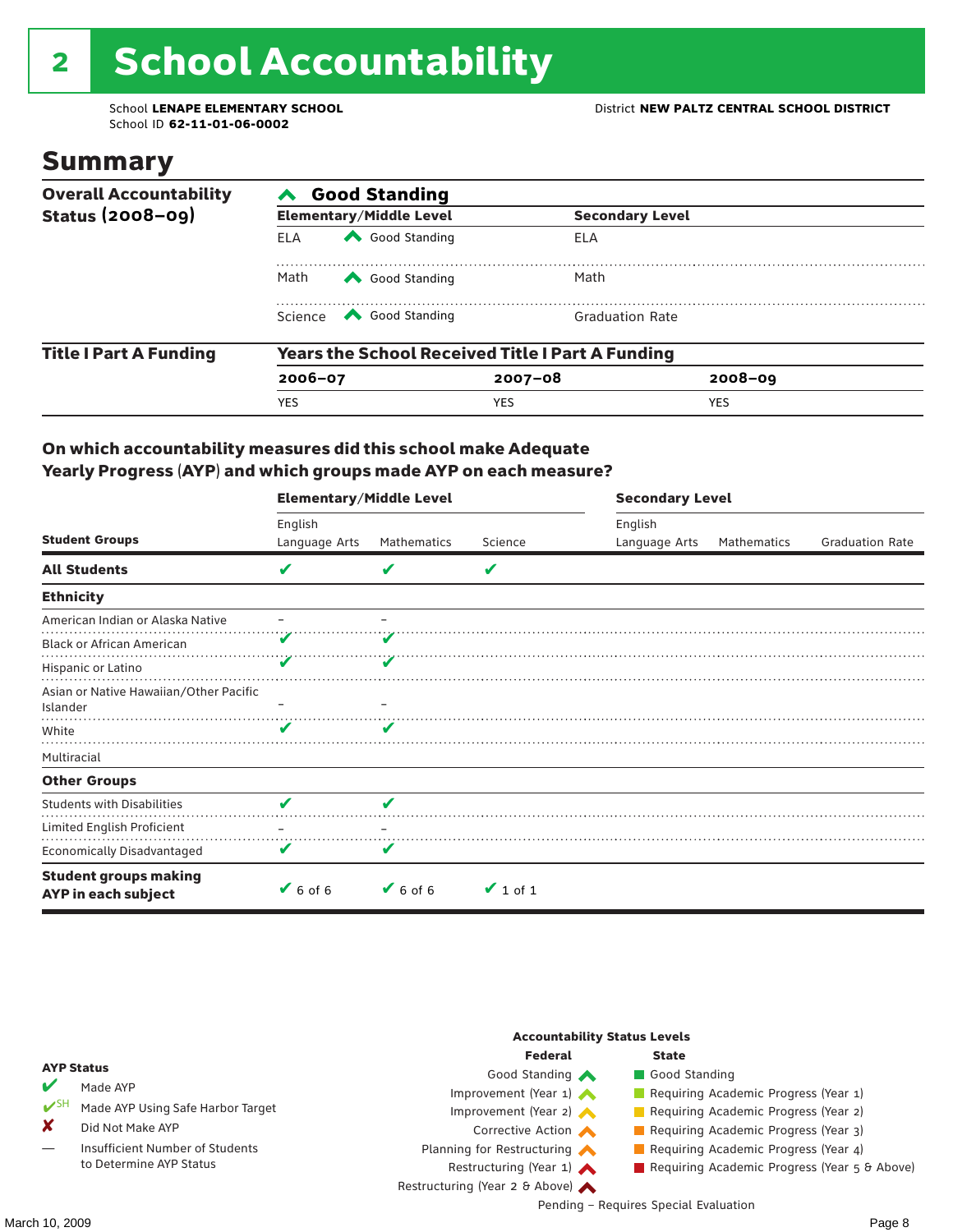# 2 School Accountability

School ID **62-11-01-06-0002**

### Summary

| <b>Overall Accountability</b> | <b>Good Standing</b>                                    |                                                                                                                                                                                                                                                                                                                                        |                        |             |  |  |  |
|-------------------------------|---------------------------------------------------------|----------------------------------------------------------------------------------------------------------------------------------------------------------------------------------------------------------------------------------------------------------------------------------------------------------------------------------------|------------------------|-------------|--|--|--|
| <b>Status (2008-09)</b>       |                                                         | <b>Elementary/Middle Level</b>                                                                                                                                                                                                                                                                                                         | <b>Secondary Level</b> |             |  |  |  |
|                               | <b>ELA</b>                                              | Good Standing                                                                                                                                                                                                                                                                                                                          | ELA                    |             |  |  |  |
|                               | Math<br>Good Standing                                   |                                                                                                                                                                                                                                                                                                                                        | Math                   |             |  |  |  |
|                               |                                                         | Science <a> Science</a> Science Science Science <a> Science <a> Science <a> Science <a> Science <a> Science <a> Science <a> Science <a> Science <a> Science <a> Science <a> Science <a<br></a<br> Science <a> Science <a<br <="" td=""><td><b>Graduation Rate</b></td><td></td></a<br></a></a></a></a></a></a></a></a></a></a></a></a> | <b>Graduation Rate</b> |             |  |  |  |
| <b>Title I Part A Funding</b> | <b>Years the School Received Title I Part A Funding</b> |                                                                                                                                                                                                                                                                                                                                        |                        |             |  |  |  |
|                               | $2006 - 07$                                             |                                                                                                                                                                                                                                                                                                                                        | $2007 - 08$            | $2008 - 09$ |  |  |  |
|                               | <b>YES</b>                                              |                                                                                                                                                                                                                                                                                                                                        | <b>YES</b>             | <b>YES</b>  |  |  |  |

### On which accountability measures did this school make Adequate Yearly Progress (AYP) and which groups made AYP on each measure?

|                                                     | <b>Elementary/Middle Level</b> |                              |               | <b>Secondary Level</b> |             |                        |  |
|-----------------------------------------------------|--------------------------------|------------------------------|---------------|------------------------|-------------|------------------------|--|
|                                                     | English                        |                              |               | English                |             |                        |  |
| <b>Student Groups</b>                               | Language Arts                  | Mathematics                  | Science       | Language Arts          | Mathematics | <b>Graduation Rate</b> |  |
| <b>All Students</b>                                 | V                              | v                            | V             |                        |             |                        |  |
| <b>Ethnicity</b>                                    |                                |                              |               |                        |             |                        |  |
| American Indian or Alaska Native                    |                                |                              |               |                        |             |                        |  |
| <b>Black or African American</b>                    |                                |                              |               |                        |             |                        |  |
| Hispanic or Latino                                  |                                |                              |               |                        |             |                        |  |
| Asian or Native Hawaiian/Other Pacific<br>Islander  |                                |                              |               |                        |             |                        |  |
| White                                               | v                              | v                            |               |                        |             |                        |  |
| Multiracial                                         |                                |                              |               |                        |             |                        |  |
| <b>Other Groups</b>                                 |                                |                              |               |                        |             |                        |  |
| <b>Students with Disabilities</b>                   | V                              | V                            |               |                        |             |                        |  |
| Limited English Proficient                          |                                |                              |               |                        |             |                        |  |
| <b>Economically Disadvantaged</b>                   | V                              |                              |               |                        |             |                        |  |
| <b>Student groups making</b><br>AYP in each subject | $6$ of 6                       | $\blacktriangleright$ 6 of 6 | $\vee$ 1 of 1 |                        |             |                        |  |

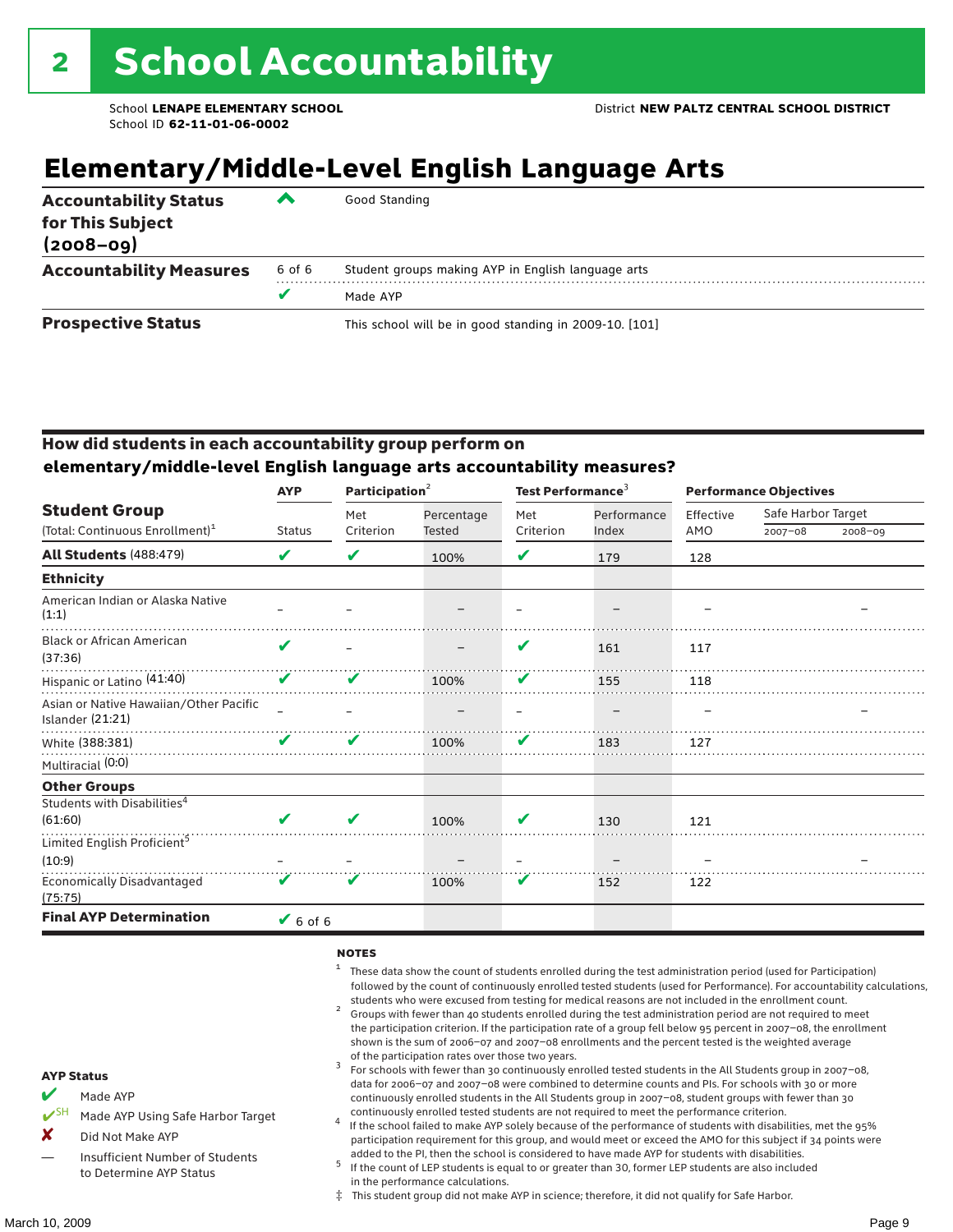# **Elementary/Middle-Level English Language Arts**

| <b>Accountability Status</b><br>for This Subject<br>$(2008 - 09)$ | ▰      | Good Standing                                          |
|-------------------------------------------------------------------|--------|--------------------------------------------------------|
| <b>Accountability Measures</b>                                    | 6 of 6 | Student groups making AYP in English language arts     |
|                                                                   | v      | Made AYP                                               |
| <b>Prospective Status</b>                                         |        | This school will be in good standing in 2009-10. [101] |

### How did students in each accountability group perform on **elementary/middle-level English language arts accountability measures?**

|                                                            | Participation <sup>2</sup><br><b>AYP</b> |           |               | Test Performance <sup>3</sup> |             | <b>Performance Objectives</b> |                    |         |
|------------------------------------------------------------|------------------------------------------|-----------|---------------|-------------------------------|-------------|-------------------------------|--------------------|---------|
| <b>Student Group</b>                                       |                                          | Met       | Percentage    | Met                           | Performance | Effective                     | Safe Harbor Target |         |
| (Total: Continuous Enrollment) <sup>1</sup>                | <b>Status</b>                            | Criterion | <b>Tested</b> | Criterion                     | Index       | AMO                           | $2007 - 08$        | 2008-09 |
| <b>All Students (488:479)</b>                              | V                                        | V         | 100%          | V                             | 179         | 128                           |                    |         |
| <b>Ethnicity</b>                                           |                                          |           |               |                               |             |                               |                    |         |
| American Indian or Alaska Native<br>(1:1)                  |                                          |           |               |                               |             |                               |                    |         |
| <b>Black or African American</b><br>(37:36)                | ✔                                        |           |               | V                             | 161         | 117                           |                    |         |
| Hispanic or Latino (41:40)                                 | V                                        | v         | 100%          | V                             | 155         | 118                           |                    |         |
| Asian or Native Hawaiian/Other Pacific<br>Islander (21:21) |                                          |           |               |                               |             |                               |                    |         |
| White (388:381)                                            | V                                        | V         | 100%          | V                             | 183         | 127                           |                    |         |
| Multiracial (0:0)                                          |                                          |           |               |                               |             |                               |                    |         |
| <b>Other Groups</b>                                        |                                          |           |               |                               |             |                               |                    |         |
| Students with Disabilities <sup>4</sup>                    |                                          |           |               |                               |             |                               |                    |         |
| (61:60)                                                    | ✔                                        | V         | 100%          | v                             | 130         | 121                           |                    |         |
| Limited English Proficient <sup>5</sup>                    |                                          |           |               |                               |             |                               |                    |         |
| (10:9)                                                     |                                          |           |               |                               |             |                               |                    |         |
| <b>Economically Disadvantaged</b><br>(75:75)               | V                                        | V         | 100%          | V                             | 152         | 122                           |                    |         |
| <b>Final AYP Determination</b>                             | $\vee$ 6 of 6                            |           |               |                               |             |                               |                    |         |

#### **NOTES**

- <sup>1</sup> These data show the count of students enrolled during the test administration period (used for Participation) followed by the count of continuously enrolled tested students (used for Performance). For accountability calculations,
- students who were excused from testing for medical reasons are not included in the enrollment count. <sup>2</sup> Groups with fewer than 40 students enrolled during the test administration period are not required to meet the participation criterion. If the participation rate of a group fell below 95 percent in 2007–08, the enrollment shown is the sum of 2006–07 and 2007–08 enrollments and the percent tested is the weighted average
- of the participation rates over those two years.<br><sup>3</sup> For schools with fewer than 30 continuously enrolled tested students in the All Students group in 2007–08, data for 2006–07 and 2007–08 were combined to determine counts and PIs. For schools with 30 or more continuously enrolled students in the All Students group in 2007–08, student groups with fewer than 30
- continuously enrolled tested students are not required to meet the performance criterion. <sup>4</sup> If the school failed to make AYP solely because of the performance of students with disabilities, met the 95% participation requirement for this group, and would meet or exceed the AMO for this subject if 34 points were added to the PI, then the school is considered to have made AYP for students with disabilities.
- $5$  If the count of LEP students is equal to or greater than 30, former LEP students are also included in the performance calculations.
- ‡ This student group did not make AYP in science; therefore, it did not qualify for Safe Harbor.
- Made AYP
	- Made AYP Using Safe Harbor Target
- X Did Not Make AYP
- Insufficient Number of Students to Determine AYP Status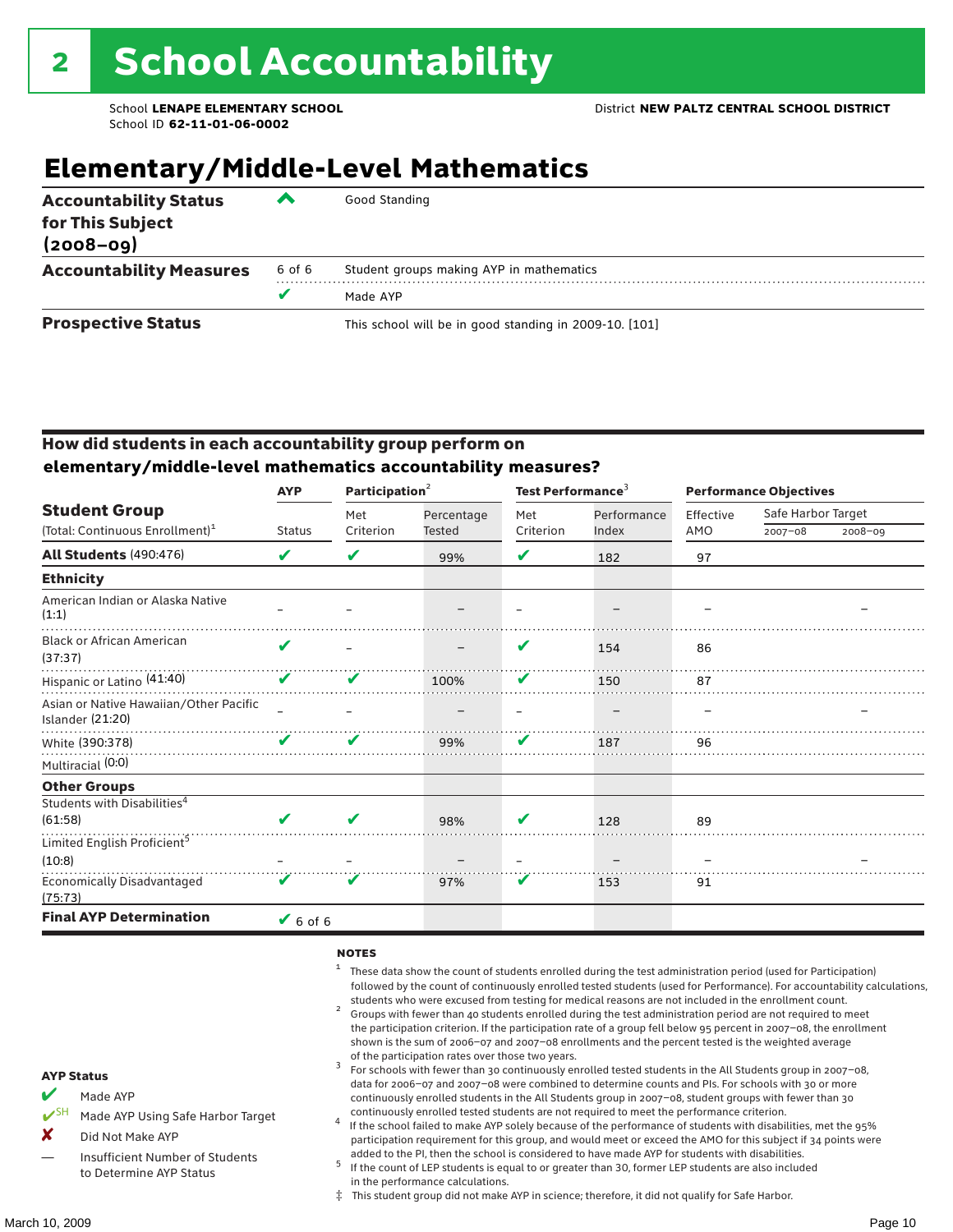## **Elementary/Middle-Level Mathematics**

| <b>Accountability Status</b><br>for This Subject<br>$(2008 - 09)$ | ▰      | Good Standing                                          |
|-------------------------------------------------------------------|--------|--------------------------------------------------------|
| <b>Accountability Measures</b>                                    | 6 of 6 | Student groups making AYP in mathematics               |
|                                                                   |        | Made AYP                                               |
| <b>Prospective Status</b>                                         |        | This school will be in good standing in 2009-10. [101] |

### How did students in each accountability group perform on **elementary/middle-level mathematics accountability measures?**

|                                                            | Participation <sup>2</sup><br><b>AYP</b> |           |            |           | Test Performance <sup>3</sup> |           | <b>Performance Objectives</b> |             |  |
|------------------------------------------------------------|------------------------------------------|-----------|------------|-----------|-------------------------------|-----------|-------------------------------|-------------|--|
| <b>Student Group</b>                                       |                                          | Met       | Percentage | Met       | Performance                   | Effective | Safe Harbor Target            |             |  |
| (Total: Continuous Enrollment) <sup>1</sup>                | <b>Status</b>                            | Criterion | Tested     | Criterion | Index                         | AMO       | $2007 - 08$                   | $2008 - 09$ |  |
| <b>All Students (490:476)</b>                              | V                                        | V         | 99%        | V         | 182                           | 97        |                               |             |  |
| <b>Ethnicity</b>                                           |                                          |           |            |           |                               |           |                               |             |  |
| American Indian or Alaska Native<br>(1:1)                  |                                          |           |            |           |                               |           |                               |             |  |
| <b>Black or African American</b><br>(37:37)                | V                                        |           |            | V         | 154                           | 86        |                               |             |  |
| Hispanic or Latino (41:40)                                 | V                                        | V         | 100%       | V         | 150                           | 87        |                               |             |  |
| Asian or Native Hawaiian/Other Pacific<br>Islander (21:20) |                                          |           |            |           |                               |           |                               |             |  |
| White (390:378)                                            | V                                        | ✔         | 99%        | V         | 187                           | 96        |                               |             |  |
| Multiracial (0:0)                                          |                                          |           |            |           |                               |           |                               |             |  |
| <b>Other Groups</b>                                        |                                          |           |            |           |                               |           |                               |             |  |
| Students with Disabilities <sup>4</sup>                    |                                          |           |            |           |                               |           |                               |             |  |
| (61:58)                                                    | V                                        | V         | 98%        | V         | 128                           | 89        |                               |             |  |
| Limited English Proficient <sup>5</sup>                    |                                          |           |            |           |                               |           |                               |             |  |
| (10:8)                                                     |                                          |           |            |           |                               |           |                               |             |  |
| <b>Economically Disadvantaged</b><br>(75:73)               | V                                        | V         | 97%        | V         | 153                           | 91        |                               |             |  |
| <b>Final AYP Determination</b>                             | $\vee$ 6 of 6                            |           |            |           |                               |           |                               |             |  |

#### **NOTES**

- <sup>1</sup> These data show the count of students enrolled during the test administration period (used for Participation) followed by the count of continuously enrolled tested students (used for Performance). For accountability calculations,
- students who were excused from testing for medical reasons are not included in the enrollment count.<br><sup>2</sup> Groups with fewer than 40 students enrolled during the test administration period are not required to meet the participation criterion. If the participation rate of a group fell below 95 percent in 2007–08, the enrollment shown is the sum of 2006–07 and 2007–08 enrollments and the percent tested is the weighted average
- of the participation rates over those two years.<br><sup>3</sup> For schools with fewer than 30 continuously enrolled tested students in the All Students group in 2007–08, data for 2006–07 and 2007–08 were combined to determine counts and PIs. For schools with 30 or more continuously enrolled students in the All Students group in 2007–08, student groups with fewer than 30
- continuously enrolled tested students are not required to meet the performance criterion. <sup>4</sup> If the school failed to make AYP solely because of the performance of students with disabilities, met the 95% participation requirement for this group, and would meet or exceed the AMO for this subject if 34 points were added to the PI, then the school is considered to have made AYP for students with disabilities.
- $5$  If the count of LEP students is equal to or greater than 30, former LEP students are also included in the performance calculations.
- ‡ This student group did not make AYP in science; therefore, it did not qualify for Safe Harbor.
- Made AYP
	- Made AYP Using Safe Harbor Target
- X Did Not Make AYP
- Insufficient Number of Students to Determine AYP Status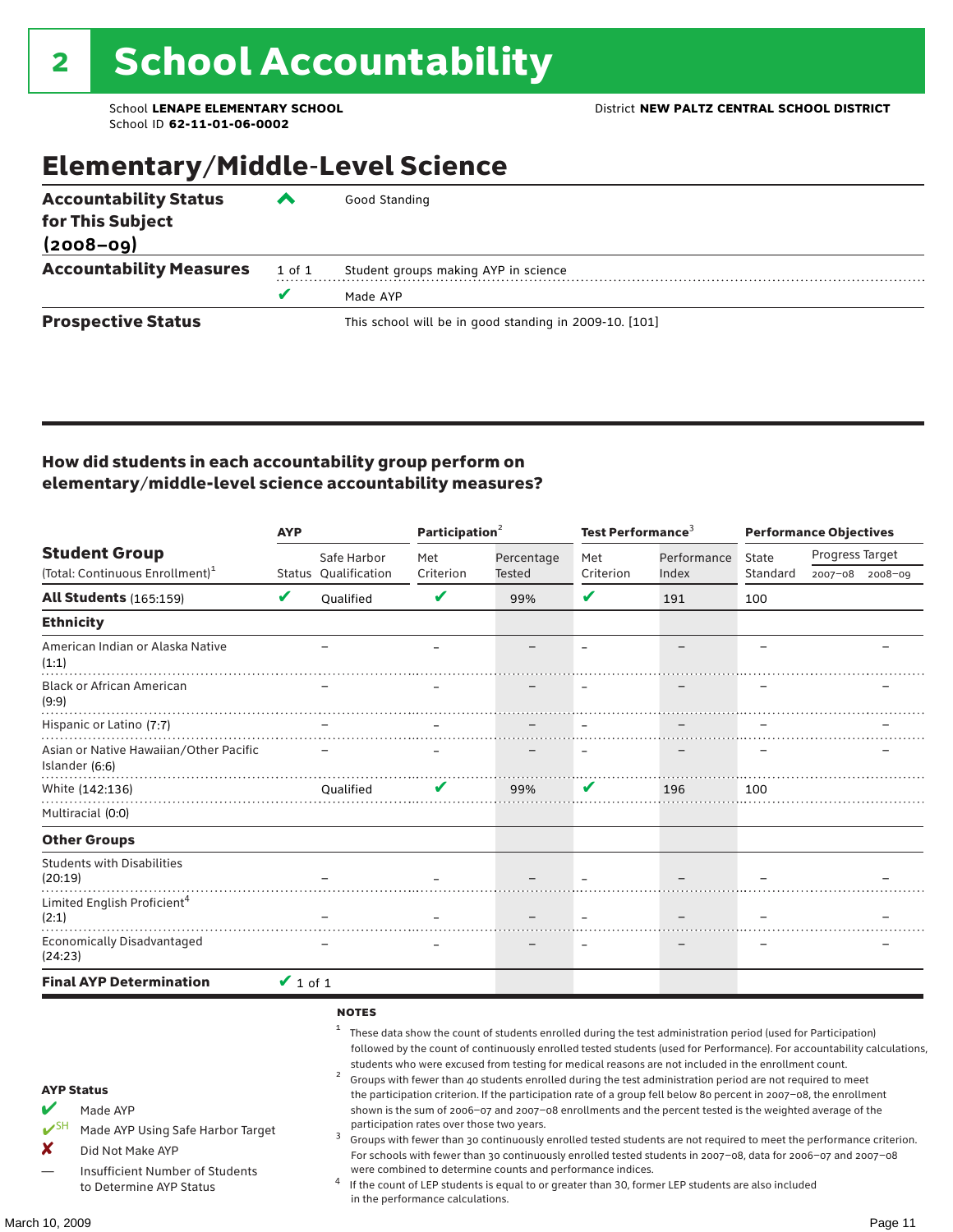## Elementary/Middle-Level Science

| <b>Accountability Status</b><br>for This Subject<br>$(2008 - 09)$ | ‴      | Good Standing                                          |
|-------------------------------------------------------------------|--------|--------------------------------------------------------|
| <b>Accountability Measures</b>                                    | 1 of 1 | Student groups making AYP in science                   |
|                                                                   | v      | Made AYP                                               |
| <b>Prospective Status</b>                                         |        | This school will be in good standing in 2009-10. [101] |

### How did students in each accountability group perform on elementary/middle-level science accountability measures?

|                                                                                                                                                                                   | <b>AYP</b>    |                             | Participation <sup>2</sup>                                                    |                                                            | Test Performance <sup>3</sup> |                                                                                                                                                                                                                                                                                                                                                                                                                                                                                                                                                                                                                                                                              | <b>Performance Objectives</b> |                                                                                                                                                                                                                                                                                                                                                                 |  |
|-----------------------------------------------------------------------------------------------------------------------------------------------------------------------------------|---------------|-----------------------------|-------------------------------------------------------------------------------|------------------------------------------------------------|-------------------------------|------------------------------------------------------------------------------------------------------------------------------------------------------------------------------------------------------------------------------------------------------------------------------------------------------------------------------------------------------------------------------------------------------------------------------------------------------------------------------------------------------------------------------------------------------------------------------------------------------------------------------------------------------------------------------|-------------------------------|-----------------------------------------------------------------------------------------------------------------------------------------------------------------------------------------------------------------------------------------------------------------------------------------------------------------------------------------------------------------|--|
| <b>Student Group</b>                                                                                                                                                              |               | Safe Harbor                 | Met                                                                           | Percentage                                                 | Met                           | Performance                                                                                                                                                                                                                                                                                                                                                                                                                                                                                                                                                                                                                                                                  | State                         | Progress Target                                                                                                                                                                                                                                                                                                                                                 |  |
| (Total: Continuous Enrollment) <sup>1</sup>                                                                                                                                       |               | <b>Status Oualification</b> | Criterion                                                                     | Tested                                                     | Criterion                     | Index                                                                                                                                                                                                                                                                                                                                                                                                                                                                                                                                                                                                                                                                        | Standard                      | 2007-08 2008-09                                                                                                                                                                                                                                                                                                                                                 |  |
| <b>All Students (165:159)</b>                                                                                                                                                     | ✔             | Oualified                   | V                                                                             | 99%                                                        | V                             | 191                                                                                                                                                                                                                                                                                                                                                                                                                                                                                                                                                                                                                                                                          | 100                           |                                                                                                                                                                                                                                                                                                                                                                 |  |
| <b>Ethnicity</b>                                                                                                                                                                  |               |                             |                                                                               |                                                            |                               |                                                                                                                                                                                                                                                                                                                                                                                                                                                                                                                                                                                                                                                                              |                               |                                                                                                                                                                                                                                                                                                                                                                 |  |
| American Indian or Alaska Native<br>(1:1)                                                                                                                                         |               |                             |                                                                               |                                                            |                               |                                                                                                                                                                                                                                                                                                                                                                                                                                                                                                                                                                                                                                                                              |                               |                                                                                                                                                                                                                                                                                                                                                                 |  |
| <b>Black or African American</b><br>(9:9)                                                                                                                                         |               |                             |                                                                               |                                                            |                               |                                                                                                                                                                                                                                                                                                                                                                                                                                                                                                                                                                                                                                                                              |                               |                                                                                                                                                                                                                                                                                                                                                                 |  |
| Hispanic or Latino (7:7)                                                                                                                                                          |               |                             |                                                                               |                                                            |                               |                                                                                                                                                                                                                                                                                                                                                                                                                                                                                                                                                                                                                                                                              |                               |                                                                                                                                                                                                                                                                                                                                                                 |  |
| Asian or Native Hawaiian/Other Pacific<br>Islander (6:6)                                                                                                                          |               |                             |                                                                               |                                                            |                               | .                                                                                                                                                                                                                                                                                                                                                                                                                                                                                                                                                                                                                                                                            |                               |                                                                                                                                                                                                                                                                                                                                                                 |  |
| White (142:136)                                                                                                                                                                   |               | <b>Oualified</b>            | v                                                                             | 99%                                                        | V                             | 196                                                                                                                                                                                                                                                                                                                                                                                                                                                                                                                                                                                                                                                                          | 100                           |                                                                                                                                                                                                                                                                                                                                                                 |  |
| Multiracial (0:0)                                                                                                                                                                 |               |                             |                                                                               |                                                            |                               |                                                                                                                                                                                                                                                                                                                                                                                                                                                                                                                                                                                                                                                                              |                               |                                                                                                                                                                                                                                                                                                                                                                 |  |
| <b>Other Groups</b>                                                                                                                                                               |               |                             |                                                                               |                                                            |                               |                                                                                                                                                                                                                                                                                                                                                                                                                                                                                                                                                                                                                                                                              |                               |                                                                                                                                                                                                                                                                                                                                                                 |  |
| <b>Students with Disabilities</b><br>(20:19)                                                                                                                                      |               |                             |                                                                               |                                                            |                               |                                                                                                                                                                                                                                                                                                                                                                                                                                                                                                                                                                                                                                                                              |                               |                                                                                                                                                                                                                                                                                                                                                                 |  |
| Limited English Proficient <sup>4</sup><br>(2:1)                                                                                                                                  |               |                             |                                                                               |                                                            |                               |                                                                                                                                                                                                                                                                                                                                                                                                                                                                                                                                                                                                                                                                              |                               |                                                                                                                                                                                                                                                                                                                                                                 |  |
| <b>Economically Disadvantaged</b><br>(24:23)                                                                                                                                      |               |                             |                                                                               |                                                            |                               |                                                                                                                                                                                                                                                                                                                                                                                                                                                                                                                                                                                                                                                                              |                               |                                                                                                                                                                                                                                                                                                                                                                 |  |
| <b>Final AYP Determination</b>                                                                                                                                                    | $\vee$ 1 of 1 |                             |                                                                               |                                                            |                               |                                                                                                                                                                                                                                                                                                                                                                                                                                                                                                                                                                                                                                                                              |                               |                                                                                                                                                                                                                                                                                                                                                                 |  |
| <b>AYP Status</b><br>V<br>Made AYP<br>$V^{\text{SH}}$<br>Made AYP Using Safe Harbor Target<br>×<br>Did Not Make AYP<br>Insufficient Number of Students<br>to Determine AYP Status |               | <b>NOTES</b><br>1<br>3      | participation rates over those two years.<br>in the performance calculations. | were combined to determine counts and performance indices. |                               | These data show the count of students enrolled during the test administration period (used for Participation)<br>students who were excused from testing for medical reasons are not included in the enrollment count.<br>Groups with fewer than 40 students enrolled during the test administration period are not required to meet<br>the participation criterion. If the participation rate of a group fell below 80 percent in 2007-08, the enrollment<br>shown is the sum of 2006-07 and 2007-08 enrollments and the percent tested is the weighted average of the<br>If the count of LEP students is equal to or greater than 30, former LEP students are also included |                               | followed by the count of continuously enrolled tested students (used for Performance). For accountability calculations,<br>Groups with fewer than 30 continuously enrolled tested students are not required to meet the performance criterion.<br>For schools with fewer than 30 continuously enrolled tested students in 2007-08, data for 2006-07 and 2007-08 |  |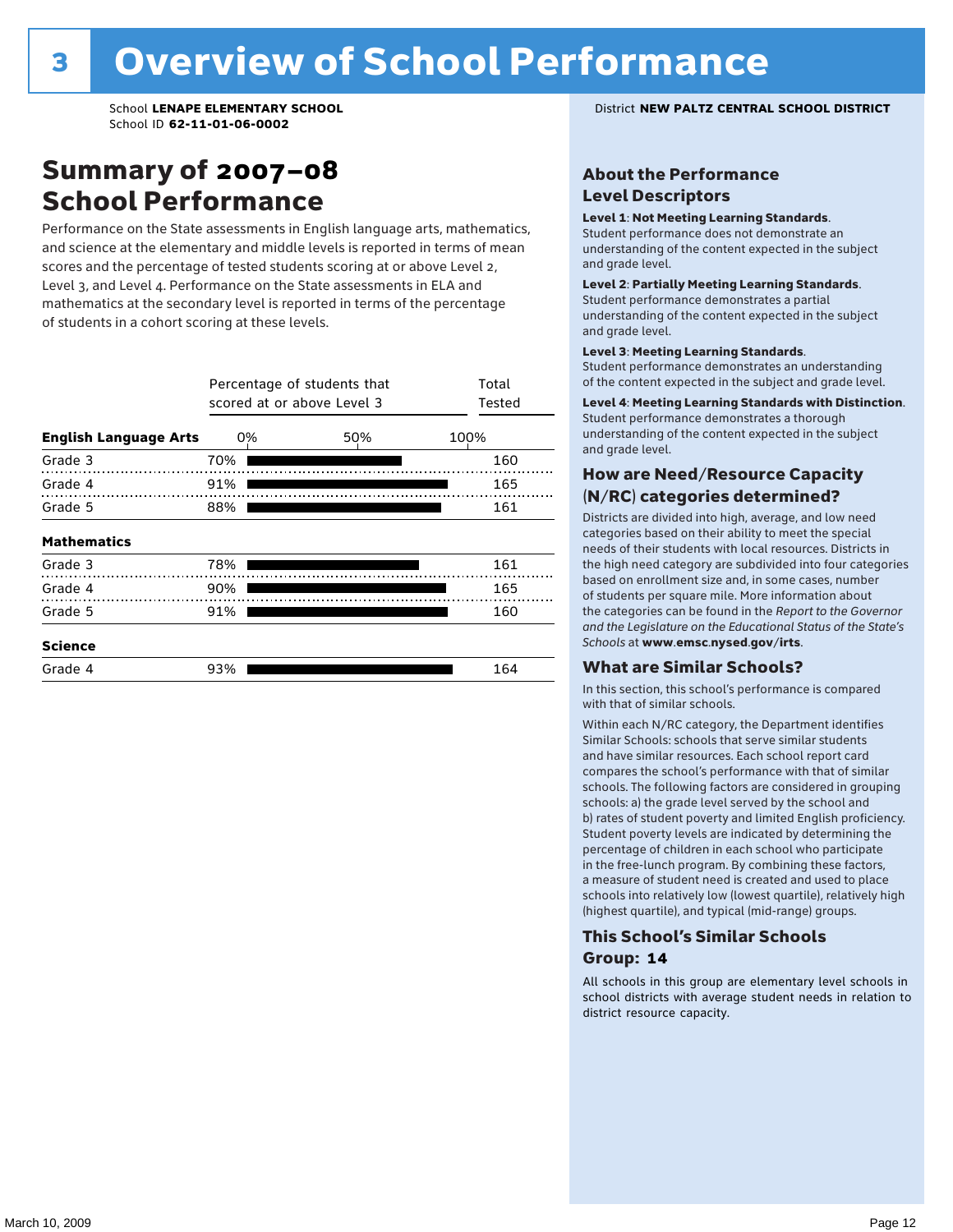### Summary of 2007–08 School Performance

Performance on the State assessments in English language arts, mathematics, and science at the elementary and middle levels is reported in terms of mean scores and the percentage of tested students scoring at or above Level 2, Level 3, and Level 4. Performance on the State assessments in ELA and mathematics at the secondary level is reported in terms of the percentage of students in a cohort scoring at these levels.

|                              |     | Percentage of students that<br>scored at or above Level 3 | Total<br>Tested |
|------------------------------|-----|-----------------------------------------------------------|-----------------|
| <b>English Language Arts</b> | 0%  | 50%                                                       | 100%            |
| Grade 3                      | 70% |                                                           | 160             |
| Grade 4                      | 91% |                                                           | 165             |
| Grade 5                      | 88% |                                                           | 161             |
| <b>Mathematics</b>           |     |                                                           |                 |
| Grade 3                      | 78% |                                                           | 161             |
| Grade 4                      | 90% |                                                           | 165             |
| Grade 5                      | 91% |                                                           | 160             |
| <b>Science</b>               |     |                                                           |                 |
| Grade 4                      | 93% |                                                           | 164             |

School **LENAPE ELEMENTARY SCHOOL** District **NEW PALTZ CENTRAL SCHOOL DISTRICT**

### About the Performance Level Descriptors

#### Level 1: Not Meeting Learning Standards.

Student performance does not demonstrate an understanding of the content expected in the subject and grade level.

#### Level 2: Partially Meeting Learning Standards.

Student performance demonstrates a partial understanding of the content expected in the subject and grade level.

#### Level 3: Meeting Learning Standards.

Student performance demonstrates an understanding of the content expected in the subject and grade level.

#### Level 4: Meeting Learning Standards with Distinction.

Student performance demonstrates a thorough understanding of the content expected in the subject and grade level.

### How are Need/Resource Capacity (N/RC) categories determined?

Districts are divided into high, average, and low need categories based on their ability to meet the special needs of their students with local resources. Districts in the high need category are subdivided into four categories based on enrollment size and, in some cases, number of students per square mile. More information about the categories can be found in the *Report to the Governor and the Legislature on the Educational Status of the State's Schools* at www.emsc.nysed.gov/irts.

#### What are Similar Schools?

In this section, this school's performance is compared with that of similar schools.

Within each N/RC category, the Department identifies Similar Schools: schools that serve similar students and have similar resources. Each school report card compares the school's performance with that of similar schools. The following factors are considered in grouping schools: a) the grade level served by the school and b) rates of student poverty and limited English proficiency. Student poverty levels are indicated by determining the percentage of children in each school who participate in the free-lunch program. By combining these factors, a measure of student need is created and used to place schools into relatively low (lowest quartile), relatively high (highest quartile), and typical (mid-range) groups.

### This School's Similar Schools Group: **14**

All schools in this group are elementary level schools in school districts with average student needs in relation to district resource capacity.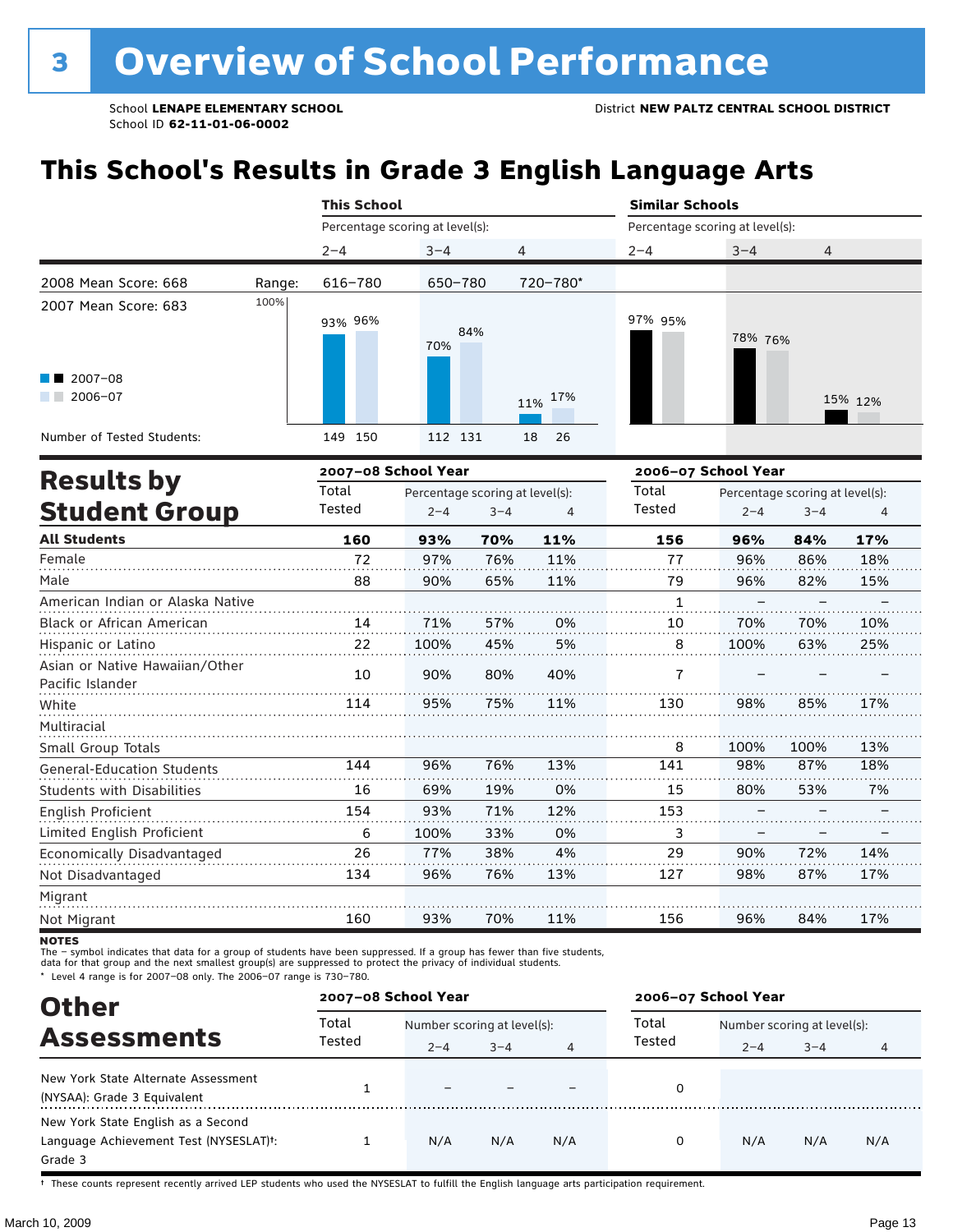# **This School's Results in Grade 3 English Language Arts**

|                                                |        | <b>This School</b>              |            |                |                                 | <b>Similar Schools</b> |                |  |  |
|------------------------------------------------|--------|---------------------------------|------------|----------------|---------------------------------|------------------------|----------------|--|--|
|                                                |        | Percentage scoring at level(s): |            |                | Percentage scoring at level(s): |                        |                |  |  |
|                                                |        | $2 - 4$                         | $3 - 4$    | $\overline{4}$ | $2 - 4$                         | $3 - 4$                | $\overline{4}$ |  |  |
| 2008 Mean Score: 668                           | Range: | 616-780                         | 650-780    | 720-780*       |                                 |                        |                |  |  |
| 2007 Mean Score: 683<br>$\blacksquare$ 2007-08 | 100%   | 93% 96%                         | 84%<br>70% |                | 97% 95%                         | 78% 76%                |                |  |  |
| 2006-07<br>a ka                                |        |                                 |            | 11% 17%        |                                 |                        | 15% 12%        |  |  |
| Number of Tested Students:                     |        | 149 150                         | 112 131    | 18<br>- 26     |                                 |                        |                |  |  |
|                                                |        |                                 |            |                |                                 |                        |                |  |  |

| <b>Results by</b>                                  |        | 2007-08 School Year |                                 |     | 2006-07 School Year |         |                                 |     |
|----------------------------------------------------|--------|---------------------|---------------------------------|-----|---------------------|---------|---------------------------------|-----|
|                                                    | Total  |                     | Percentage scoring at level(s): |     | Total               |         | Percentage scoring at level(s): |     |
| <b>Student Group</b>                               | Tested | $2 - 4$             | $3 - 4$                         | 4   | Tested              | $2 - 4$ | $3 - 4$                         | 4   |
| <b>All Students</b>                                | 160    | 93%                 | 70%                             | 11% | 156                 | 96%     | 84%                             | 17% |
| Female                                             | 72     | 97%                 | 76%                             | 11% | 77                  | 96%     | 86%                             | 18% |
| Male                                               | 88     | 90%                 | 65%                             | 11% | 79                  | 96%     | 82%                             | 15% |
| American Indian or Alaska Native                   |        |                     |                                 |     | $\mathbf{1}$        |         |                                 |     |
| Black or African American                          | 14     | 71%                 | 57%                             | 0%  | 10                  | 70%     | 70%                             | 10% |
| Hispanic or Latino                                 | 22     | 100%                | 45%                             | 5%  | 8                   | 100%    | 63%                             | 25% |
| Asian or Native Hawaiian/Other<br>Pacific Islander | 10     | 90%                 | 80%                             | 40% | 7                   |         |                                 |     |
| White                                              | 114    | 95%                 | 75%                             | 11% | 130                 | 98%     | 85%                             | 17% |
| Multiracial                                        |        |                     |                                 |     |                     |         |                                 |     |
| Small Group Totals                                 |        |                     |                                 |     | 8                   | 100%    | 100%                            | 13% |
| <b>General-Education Students</b>                  | 144    | 96%                 | 76%                             | 13% | 141                 | 98%     | 87%                             | 18% |
| <b>Students with Disabilities</b>                  | 16     | 69%                 | 19%                             | 0%  | 15                  | 80%     | 53%                             | 7%  |
| <b>English Proficient</b>                          | 154    | 93%                 | 71%                             | 12% | 153                 |         |                                 |     |
| Limited English Proficient                         | 6      | 100%                | 33%                             | 0%  | 3                   |         |                                 |     |
| Economically Disadvantaged                         | 26     | 77%                 | 38%                             | 4%  | 29                  | 90%     | 72%                             | 14% |
| Not Disadvantaged                                  | 134    | 96%                 | 76%                             | 13% | 127                 | 98%     | 87%                             | 17% |
| Migrant                                            |        |                     |                                 |     |                     |         |                                 |     |
| Not Migrant                                        | 160    | 93%                 | 70%                             | 11% | 156                 | 96%     | 84%                             | 17% |

**NOTES** 

The – symbol indicates that data for a group of students have been suppressed. If a group has fewer than five students,<br>data for that group and the next smallest group(s) are suppressed to protect the privacy of individual

\* Level 4 range is for 2007–08 only. The 2006–07 range is 730–780.

| <b>Other</b>                                        | 2007-08 School Year |                             |         |                | 2006-07 School Year |                             |         |     |
|-----------------------------------------------------|---------------------|-----------------------------|---------|----------------|---------------------|-----------------------------|---------|-----|
|                                                     | Total               | Number scoring at level(s): |         |                | Total               | Number scoring at level(s): |         |     |
| <b>Assessments</b>                                  | Tested              | $2 - 4$                     | $3 - 4$ | $\overline{4}$ | Tested              | $2 - 4$                     | $3 - 4$ | 4   |
| New York State Alternate Assessment                 |                     |                             |         |                | 0                   |                             |         |     |
| (NYSAA): Grade 3 Equivalent                         |                     |                             |         |                |                     |                             |         |     |
| New York State English as a Second                  |                     |                             |         |                |                     |                             |         |     |
| Language Achievement Test (NYSESLAT) <sup>+</sup> : |                     | N/A                         | N/A     | N/A            | 0                   | N/A                         | N/A     | N/A |
| Grade 3                                             |                     |                             |         |                |                     |                             |         |     |

† These counts represent recently arrived LEP students who used the NYSESLAT to fulfill the English language arts participation requirement.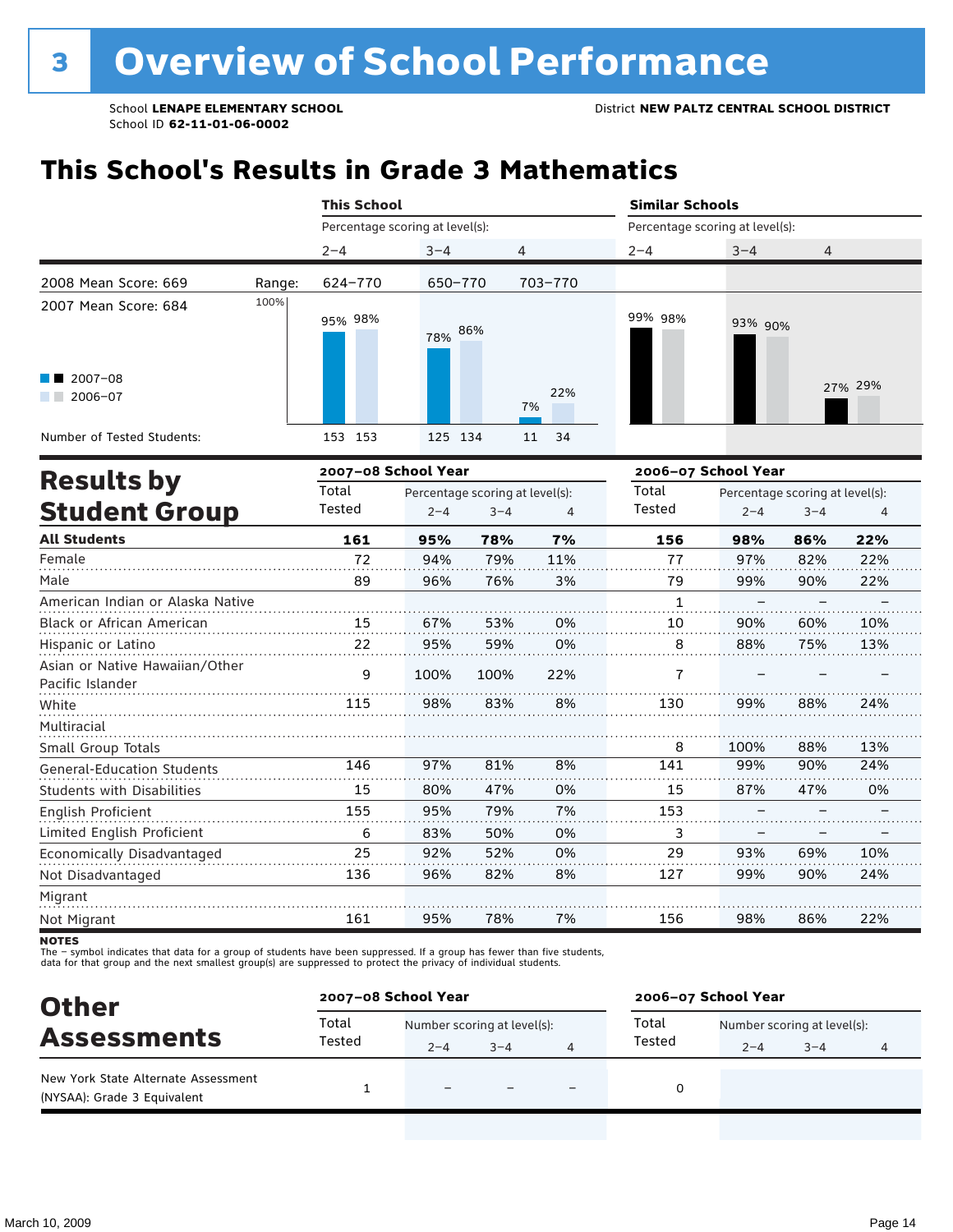# **This School's Results in Grade 3 Mathematics**

|                                                    |        | <b>This School</b>              |                                 |         |           | <b>Similar Schools</b>          |                                 |         |         |  |
|----------------------------------------------------|--------|---------------------------------|---------------------------------|---------|-----------|---------------------------------|---------------------------------|---------|---------|--|
|                                                    |        | Percentage scoring at level(s): |                                 |         |           | Percentage scoring at level(s): |                                 |         |         |  |
|                                                    |        | $2 - 4$                         | $3 - 4$                         |         | 4         | $2 - 4$                         | $3 - 4$                         | 4       |         |  |
| 2008 Mean Score: 669                               | Range: | 624-770                         | 650-770                         |         | 703-770   |                                 |                                 |         |         |  |
| 2007 Mean Score: 684                               | 100%   | 95% 98%                         | 78% 86%                         |         |           | 99% 98%                         | 93% 90%                         |         |         |  |
| $2007 - 08$<br>$2006 - 07$                         |        |                                 |                                 |         | 22%<br>7% |                                 |                                 |         | 27% 29% |  |
| Number of Tested Students:                         |        | 153 153                         | 125 134                         |         | 11<br>34  |                                 |                                 |         |         |  |
| <b>Results by</b>                                  |        | 2007-08 School Year             |                                 |         |           | 2006-07 School Year             |                                 |         |         |  |
|                                                    |        | Total                           | Percentage scoring at level(s): |         |           | Total                           | Percentage scoring at level(s): |         |         |  |
| <b>Student Group</b>                               |        | Tested                          | $2 - 4$                         | $3 - 4$ | 4         | Tested                          | $2 - 4$                         | $3 - 4$ | 4       |  |
| <b>All Students</b>                                |        | 161                             | 95%                             | 78%     | 7%        | 156                             | 98%                             | 86%     | 22%     |  |
| Female                                             |        | 72                              | 94%                             | 79%     | 11%       | 77                              | 97%                             | 82%     | 22%     |  |
| Male                                               |        | 89                              | 96%                             | 76%     | 3%        | 79                              | 99%                             | 90%     | 22%     |  |
| American Indian or Alaska Native                   |        |                                 |                                 |         |           | $\mathbf{1}$                    |                                 |         |         |  |
| Black or African American                          |        | 15                              | 67%                             | 53%     | 0%        | 10                              | 90%                             | 60%     | 10%     |  |
| Hispanic or Latino                                 |        | 22                              | 95%                             | 59%     | 0%        | 8                               | 88%                             | 75%     | 13%     |  |
| Asian or Native Hawaiian/Other<br>Pacific Islander |        | 9                               | 100%                            | 100%    | 22%       | 7                               |                                 |         |         |  |
| White                                              |        | 115                             | 98%                             | 83%     | 8%        | 130                             | 99%                             | 88%     | 24%     |  |
| Multiracial                                        |        |                                 |                                 |         |           |                                 |                                 |         |         |  |
| Small Group Totals                                 |        |                                 |                                 |         |           | 8                               | 100%                            | 88%     | 13%     |  |
| <b>General-Education Students</b>                  |        | 146                             | 97%                             | 81%     | 8%        | 141                             | 99%                             | 90%     | 24%     |  |
| <b>Students with Disabilities</b>                  |        | 15                              | 80%                             | 47%     | 0%        | 15                              | 87%                             | 47%     | 0%      |  |
| English Proficient                                 |        | 155                             | 95%                             | 79%     | 7%        | 153                             |                                 |         |         |  |

| Limited English Proficient |     | 83% | 50% | 0% |     |     |     |     |
|----------------------------|-----|-----|-----|----|-----|-----|-----|-----|
| Economically Disadvantaged | 25  | 92% | 52% | 0% | 29  | 93% | 69% | 10% |
| Not Disadvantaged          | 136 | 96% | 82% | 8% |     | 99% | 90% | 24% |
| Migrant                    |     |     |     |    |     |     |     |     |
| Not Migrant                | 161 | 95% | 78% | 7% | 156 | 98% | 86% | 22% |
| NATEC                      |     |     |     |    |     |     |     |     |

NOTES<br>The – symbol indicates that data for a group of students have been suppressed. If a group has fewer than five students,<br>data for that group and the next smallest group(s) are suppressed to protect the privacy of indi

| <b>Other</b>                                                       | 2007-08 School Year |                             |         |  | 2006-07 School Year |                             |         |  |
|--------------------------------------------------------------------|---------------------|-----------------------------|---------|--|---------------------|-----------------------------|---------|--|
| <b>Assessments</b>                                                 | Total<br>Tested     | Number scoring at level(s): |         |  | Total               | Number scoring at level(s): |         |  |
|                                                                    |                     | $2 - 4$                     | $3 - 4$ |  | Tested              | $2 - 4$                     | $3 - 4$ |  |
| New York State Alternate Assessment<br>(NYSAA): Grade 3 Equivalent |                     |                             |         |  |                     |                             |         |  |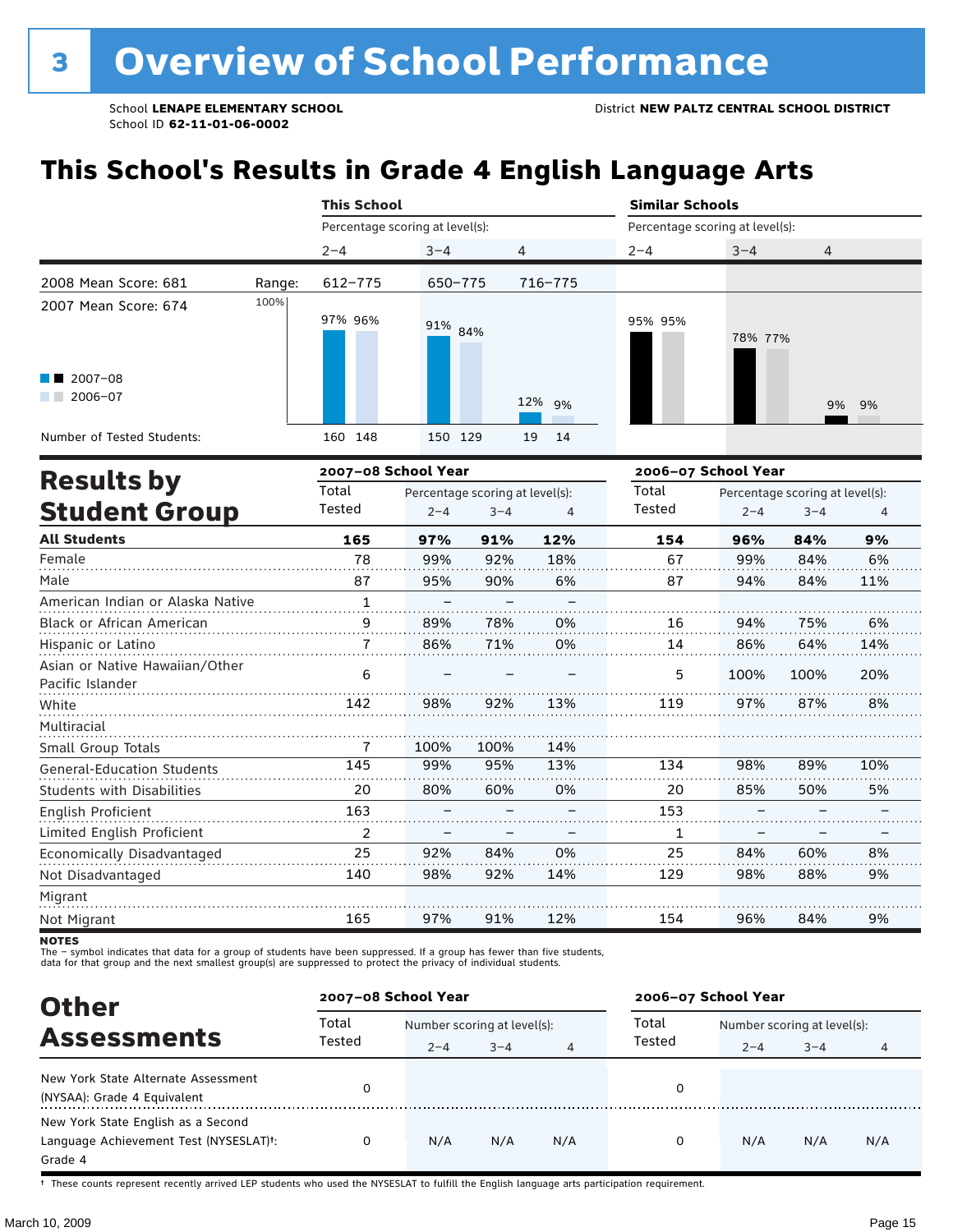# **This School's Results in Grade 4 English Language Arts**

|                                                           |        | <b>This School</b> |                                 |          | <b>Similar Schools</b> |                                 |                |  |  |
|-----------------------------------------------------------|--------|--------------------|---------------------------------|----------|------------------------|---------------------------------|----------------|--|--|
|                                                           |        |                    | Percentage scoring at level(s): |          |                        | Percentage scoring at level(s): |                |  |  |
|                                                           |        | $2 - 4$            | $3 - 4$                         | 4        | $2 - 4$                | $3 - 4$                         | $\overline{4}$ |  |  |
| 2008 Mean Score: 681                                      | Range: | 612-775            | 650-775                         | 716-775  |                        |                                 |                |  |  |
| 2007 Mean Score: 674<br>$\blacksquare$ 2007-08<br>2006-07 | 100%   | 97% 96%            | 91% 84%                         | 12% 9%   | 95% 95%                | 78% 77%                         | 9% 9%          |  |  |
| Number of Tested Students:                                |        | 160 148            | 150 129                         | 19<br>14 |                        |                                 |                |  |  |

|                                                    |                | 2007-08 School Year |                                 |     | 2006-07 School Year |         |                                 |     |  |
|----------------------------------------------------|----------------|---------------------|---------------------------------|-----|---------------------|---------|---------------------------------|-----|--|
| <b>Results by</b>                                  | Total          |                     | Percentage scoring at level(s): |     | Total               |         | Percentage scoring at level(s): |     |  |
| <b>Student Group</b>                               | Tested         | $2 - 4$             | $3 - 4$                         | 4   | Tested              | $2 - 4$ | $3 - 4$                         | 4   |  |
| <b>All Students</b>                                | 165            | 97%                 | 91%                             | 12% | 154                 | 96%     | 84%                             | 9%  |  |
| Female                                             | 78             | 99%                 | 92%                             | 18% | 67                  | 99%     | 84%                             | 6%  |  |
| Male                                               | 87             | 95%                 | 90%                             | 6%  | 87                  | 94%     | 84%                             | 11% |  |
| American Indian or Alaska Native                   | $\mathbf{1}$   |                     |                                 |     |                     |         |                                 |     |  |
| Black or African American                          | 9              | 89%                 | 78%                             | 0%  | 16                  | 94%     | 75%                             | 6%  |  |
| Hispanic or Latino                                 | 7              | 86%                 | 71%                             | 0%  | 14                  | 86%     | 64%                             | 14% |  |
| Asian or Native Hawaiian/Other<br>Pacific Islander | 6              |                     |                                 |     | 5                   | 100%    | 100%                            | 20% |  |
| White                                              | 142            | 98%                 | 92%                             | 13% | 119                 | 97%     | 87%                             | 8%  |  |
| Multiracial                                        |                |                     |                                 |     |                     |         |                                 |     |  |
| Small Group Totals                                 | 7              | 100%                | 100%                            | 14% |                     |         |                                 |     |  |
| <b>General-Education Students</b>                  | 145            | 99%                 | 95%                             | 13% | 134                 | 98%     | 89%                             | 10% |  |
| <b>Students with Disabilities</b>                  | 20             | 80%                 | 60%                             | 0%  | 20                  | 85%     | 50%                             | 5%  |  |
| English Proficient                                 | 163            |                     |                                 |     | 153                 |         |                                 |     |  |
| Limited English Proficient                         | $\overline{2}$ |                     |                                 |     | 1                   |         |                                 |     |  |
| Economically Disadvantaged                         | 25             | 92%                 | 84%                             | 0%  | 25                  | 84%     | 60%                             | 8%  |  |
| Not Disadvantaged                                  | 140            | 98%                 | 92%                             | 14% | 129                 | 98%     | 88%                             | 9%  |  |
| Migrant                                            |                |                     |                                 |     |                     |         |                                 |     |  |
| Not Migrant                                        | 165            | 97%                 | 91%                             | 12% | 154                 | 96%     | 84%                             | 9%  |  |

**NOTES** 

The – symbol indicates that data for a group of students have been suppressed. If a group has fewer than five students,<br>data for that group and the next smallest group(s) are suppressed to protect the privacy of individual

| <b>Other</b>                                                                                         | 2007-08 School Year |                                        |         |     |                 | 2006-07 School Year                    |         |     |  |  |  |
|------------------------------------------------------------------------------------------------------|---------------------|----------------------------------------|---------|-----|-----------------|----------------------------------------|---------|-----|--|--|--|
| <b>Assessments</b>                                                                                   | Total<br>Tested     | Number scoring at level(s):<br>$2 - 4$ | $3 - 4$ | 4   | Total<br>Tested | Number scoring at level(s):<br>$2 - 4$ | $3 - 4$ |     |  |  |  |
| New York State Alternate Assessment<br>(NYSAA): Grade 4 Equivalent                                   |                     |                                        |         |     | 0               |                                        |         |     |  |  |  |
| New York State English as a Second<br>Language Achievement Test (NYSESLAT) <sup>+</sup> :<br>Grade 4 |                     | N/A                                    | N/A     | N/A | 0               | N/A                                    | N/A     | N/A |  |  |  |

† These counts represent recently arrived LEP students who used the NYSESLAT to fulfill the English language arts participation requirement.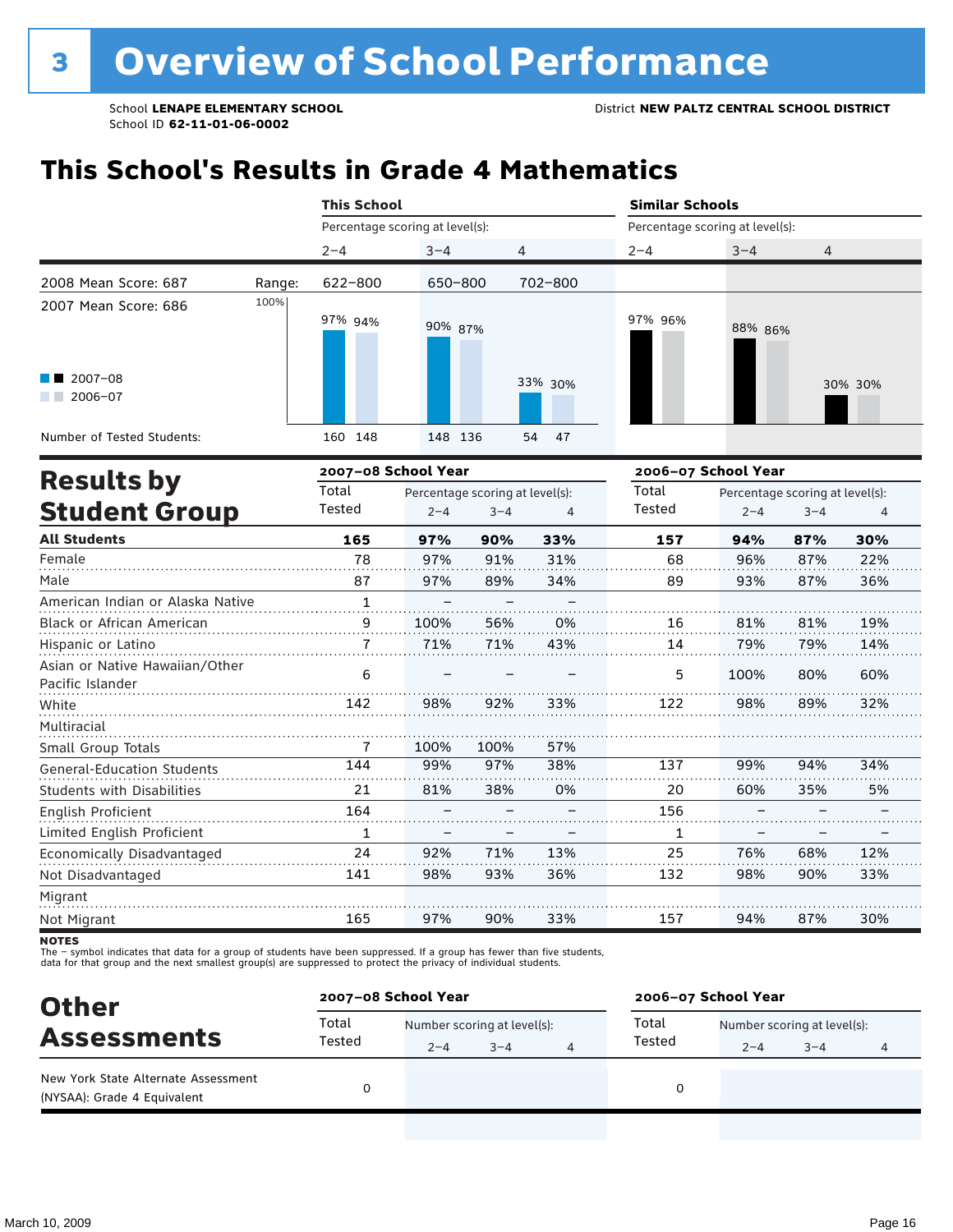# **This School's Results in Grade 4 Mathematics**

|                                                                        |        | <b>This School</b>              |         |          |                     | <b>Similar Schools</b>          |         |  |  |  |
|------------------------------------------------------------------------|--------|---------------------------------|---------|----------|---------------------|---------------------------------|---------|--|--|--|
|                                                                        |        | Percentage scoring at level(s): |         |          |                     | Percentage scoring at level(s): |         |  |  |  |
|                                                                        |        | $2 - 4$                         | $3 - 4$ | 4        | $2 - 4$             | $3 - 4$                         | 4       |  |  |  |
| 2008 Mean Score: 687                                                   | Range: | 622-800                         | 650-800 | 702-800  |                     |                                 |         |  |  |  |
| 2007 Mean Score: 686<br>$\blacksquare$ 2007-08<br>2006-07<br>a sa Bala | 100%   | 97% 94%                         | 90% 87% | 33% 30%  | 97% 96%             | 88% 86%                         | 30% 30% |  |  |  |
| Number of Tested Students:                                             |        | 160 148                         | 148 136 | 54<br>47 |                     |                                 |         |  |  |  |
| Deedle ku                                                              |        | 2007-08 School Year             |         |          | 2006-07 School Year |                                 |         |  |  |  |

| <b>Results by</b>                                  |        | 2007–08 School Year |                                 |     | 2006–07 School Year |         |                                 |     |  |
|----------------------------------------------------|--------|---------------------|---------------------------------|-----|---------------------|---------|---------------------------------|-----|--|
|                                                    | Total  |                     | Percentage scoring at level(s): |     | Total               |         | Percentage scoring at level(s): |     |  |
| <b>Student Group</b>                               | Tested | $2 - 4$             | $3 - 4$                         | 4   | Tested              | $2 - 4$ | $3 - 4$                         | 4   |  |
| <b>All Students</b>                                | 165    | 97%                 | 90%                             | 33% | 157                 | 94%     | 87%                             | 30% |  |
| Female                                             | 78     | 97%                 | 91%                             | 31% | 68                  | 96%     | 87%                             | 22% |  |
| Male                                               | 87     | 97%                 | 89%                             | 34% | 89                  | 93%     | 87%                             | 36% |  |
| American Indian or Alaska Native                   | 1      |                     |                                 |     |                     |         |                                 |     |  |
| Black or African American                          | 9      | 100%                | 56%                             | 0%  | 16                  | 81%     | 81%                             | 19% |  |
| Hispanic or Latino                                 | 7      | 71%                 | 71%                             | 43% | 14                  | 79%     | 79%                             | 14% |  |
| Asian or Native Hawaiian/Other<br>Pacific Islander | 6      |                     |                                 |     | 5                   | 100%    | 80%                             | 60% |  |
| White                                              | 142    | 98%                 | 92%                             | 33% | 122                 | 98%     | 89%                             | 32% |  |
| Multiracial                                        |        |                     |                                 |     |                     |         |                                 |     |  |
| Small Group Totals                                 | 7      | 100%                | 100%                            | 57% |                     |         |                                 |     |  |
| <b>General-Education Students</b>                  | 144    | 99%                 | 97%                             | 38% | 137                 | 99%     | 94%                             | 34% |  |
| <b>Students with Disabilities</b>                  | 21     | 81%                 | 38%                             | 0%  | 20                  | 60%     | 35%                             | 5%  |  |
| English Proficient                                 | 164    |                     |                                 |     | 156                 |         |                                 |     |  |
| Limited English Proficient                         | 1      | $\qquad \qquad -$   |                                 |     | 1                   |         |                                 |     |  |
| Economically Disadvantaged                         | 24     | 92%                 | 71%                             | 13% | 25                  | 76%     | 68%                             | 12% |  |
| Not Disadvantaged                                  | 141    | 98%                 | 93%                             | 36% | 132                 | 98%     | 90%                             | 33% |  |
| Migrant                                            |        |                     |                                 |     |                     |         |                                 |     |  |
| Not Migrant                                        | 165    | 97%                 | 90%                             | 33% | 157                 | 94%     | 87%                             | 30% |  |

**NOTES** 

The – symbol indicates that data for a group of students have been suppressed. If a group has fewer than five students,<br>data for that group and the next smallest group(s) are suppressed to protect the privacy of individual

| <b>Other</b>                        |                 | 2007-08 School Year         |         |  |                 | 2006-07 School Year         |         |  |  |  |  |
|-------------------------------------|-----------------|-----------------------------|---------|--|-----------------|-----------------------------|---------|--|--|--|--|
| <b>Assessments</b>                  | Total<br>Tested | Number scoring at level(s): |         |  | Total<br>Tested | Number scoring at level(s): |         |  |  |  |  |
| New York State Alternate Assessment |                 | $2 - 4$                     | $3 - 4$ |  |                 | $2 - 4$                     | $3 - 4$ |  |  |  |  |
| (NYSAA): Grade 4 Equivalent         |                 |                             |         |  |                 |                             |         |  |  |  |  |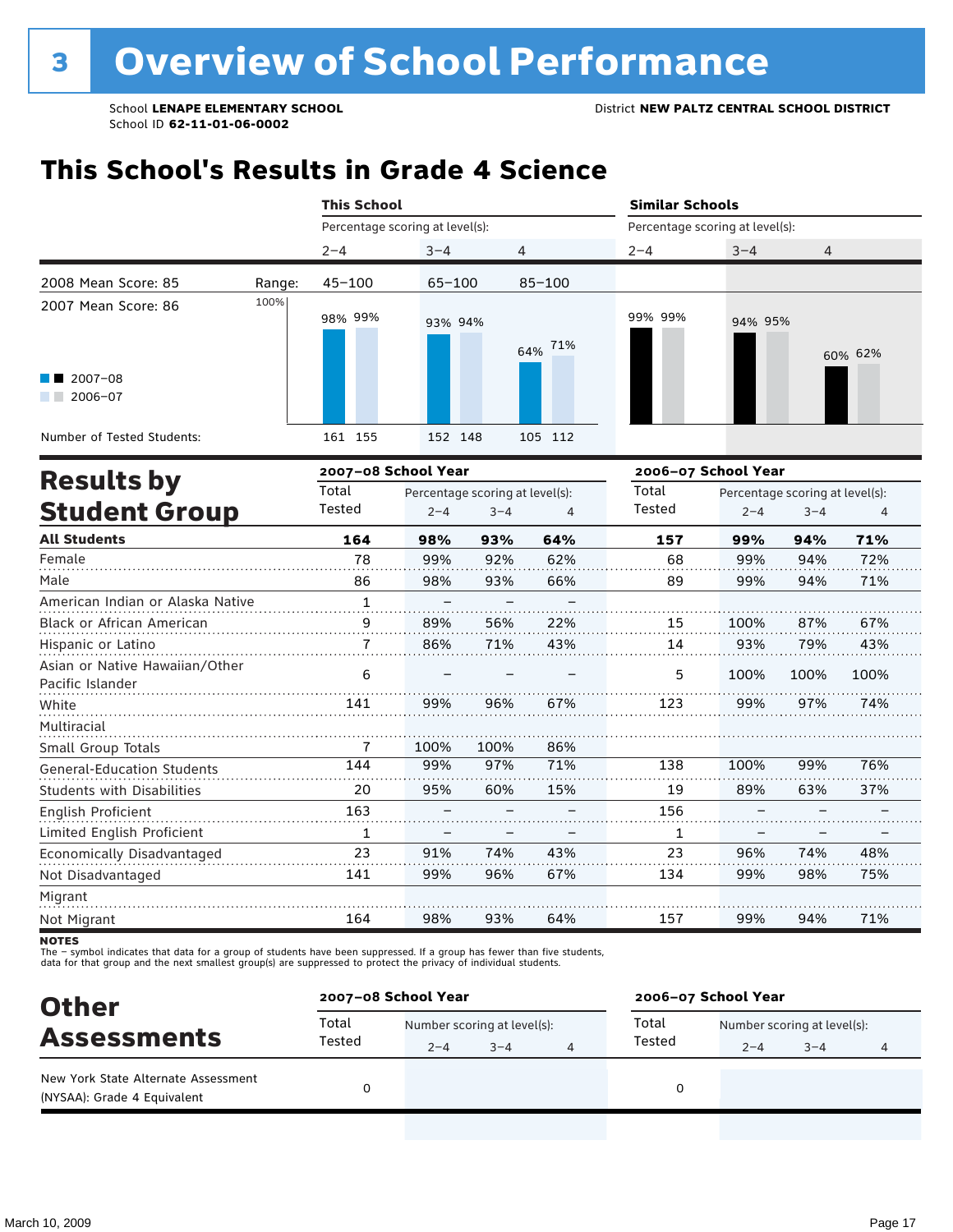## **This School's Results in Grade 4 Science**

|                                                                                            |        | <b>This School</b> |                                            |                    |                                                                                                 | <b>Similar Schools</b>          |                             |  |  |
|--------------------------------------------------------------------------------------------|--------|--------------------|--------------------------------------------|--------------------|-------------------------------------------------------------------------------------------------|---------------------------------|-----------------------------|--|--|
|                                                                                            |        |                    | Percentage scoring at level(s):            |                    |                                                                                                 | Percentage scoring at level(s): |                             |  |  |
|                                                                                            |        | $2 - 4$            | $3 - 4$                                    | 4                  | $2 - 4$                                                                                         | $3 - 4$                         | 4                           |  |  |
| 2008 Mean Score: 85                                                                        | Range: | $45 - 100$         | $65 - 100$                                 | $85 - 100$         |                                                                                                 |                                 |                             |  |  |
| 2007 Mean Score: 86<br>$\blacksquare$ 2007-08<br>$2006 - 07$<br>Number of Tested Students: | 100%   | 98% 99%<br>161 155 | 93% 94%<br>152 148                         | 64% 71%<br>105 112 | 99% 99%                                                                                         | 94% 95%                         | 60% 62%                     |  |  |
|                                                                                            |        |                    | 2007-08 School Year                        |                    |                                                                                                 |                                 |                             |  |  |
| <b>Results by</b><br><b>Student Group</b>                                                  |        | Total<br>Tested    | Percentage scoring at level(s):<br>$2 - 4$ | $3 - 4$<br>4       | 2006-07 School Year<br>Total<br>Percentage scoring at level(s):<br>Tested<br>$2 - 4$<br>$3 - 4$ |                                 |                             |  |  |
| All Ctudonte                                                                               |        | 1C <sub>A</sub>    | 0.007<br>0.207                             | C A0I              | <b>467</b>                                                                                      | nna/                            | <b>0.40/</b><br><b>740/</b> |  |  |

| <b>All Students</b>                                | 164 | 98%  | 93%  | 64% | 157 | 99%  | 94%  | 71%  |
|----------------------------------------------------|-----|------|------|-----|-----|------|------|------|
| Female                                             | 78  | 99%  | 92%  | 62% | 68  | 99%  | 94%  | 72%  |
| Male                                               | 86  | 98%  | 93%  | 66% | 89  | 99%  | 94%  | 71%  |
| American Indian or Alaska Native                   | 1   |      |      |     |     |      |      |      |
| <b>Black or African American</b>                   | 9   | 89%  | 56%  | 22% | 15  | 100% | 87%  | 67%  |
| Hispanic or Latino                                 |     | 86%  | 71%  | 43% | 14  | 93%  | 79%  | 43%  |
| Asian or Native Hawaiian/Other<br>Pacific Islander | 6   |      |      |     | 5   | 100% | 100% | 100% |
| White                                              | 141 | 99%  | 96%  | 67% | 123 | 99%  | 97%  | 74%  |
| Multiracial                                        |     |      |      |     |     |      |      |      |
| Small Group Totals                                 |     | 100% | 100% | 86% |     |      |      |      |
| <b>General-Education Students</b>                  | 144 | 99%  | 97%  | 71% | 138 | 100% | 99%  | 76%  |
| <b>Students with Disabilities</b>                  | 20  | 95%  | 60%  | 15% | 19  | 89%  | 63%  | 37%  |
| English Proficient                                 | 163 |      |      |     | 156 |      |      |      |
| Limited English Proficient                         | 1   | -    |      |     | 1   |      |      |      |
| Economically Disadvantaged                         | 23  | 91%  | 74%  | 43% | 23  | 96%  | 74%  | 48%  |
| Not Disadvantaged                                  | 141 | 99%  | 96%  | 67% | 134 | 99%  | 98%  | 75%  |
| Migrant                                            |     |      |      |     |     |      |      |      |
| Not Migrant                                        | 164 | 98%  | 93%  | 64% | 157 | 99%  | 94%  | 71%  |

**NOTES** 

The – symbol indicates that data for a group of students have been suppressed. If a group has fewer than five students,<br>data for that group and the next smallest group(s) are suppressed to protect the privacy of individual

| <b>Other</b>                                                       | 2007-08 School Year |                             |         |                                      | 2006-07 School Year |         |  |  |  |  |
|--------------------------------------------------------------------|---------------------|-----------------------------|---------|--------------------------------------|---------------------|---------|--|--|--|--|
| <b>Assessments</b>                                                 | Total               | Number scoring at level(s): |         | Total<br>Number scoring at level(s): |                     |         |  |  |  |  |
|                                                                    | Tested              | $2 - 4$                     | $3 - 4$ | Tested                               | $2 - 4$             | $3 - 4$ |  |  |  |  |
| New York State Alternate Assessment<br>(NYSAA): Grade 4 Equivalent |                     |                             |         |                                      |                     |         |  |  |  |  |
|                                                                    |                     |                             |         |                                      |                     |         |  |  |  |  |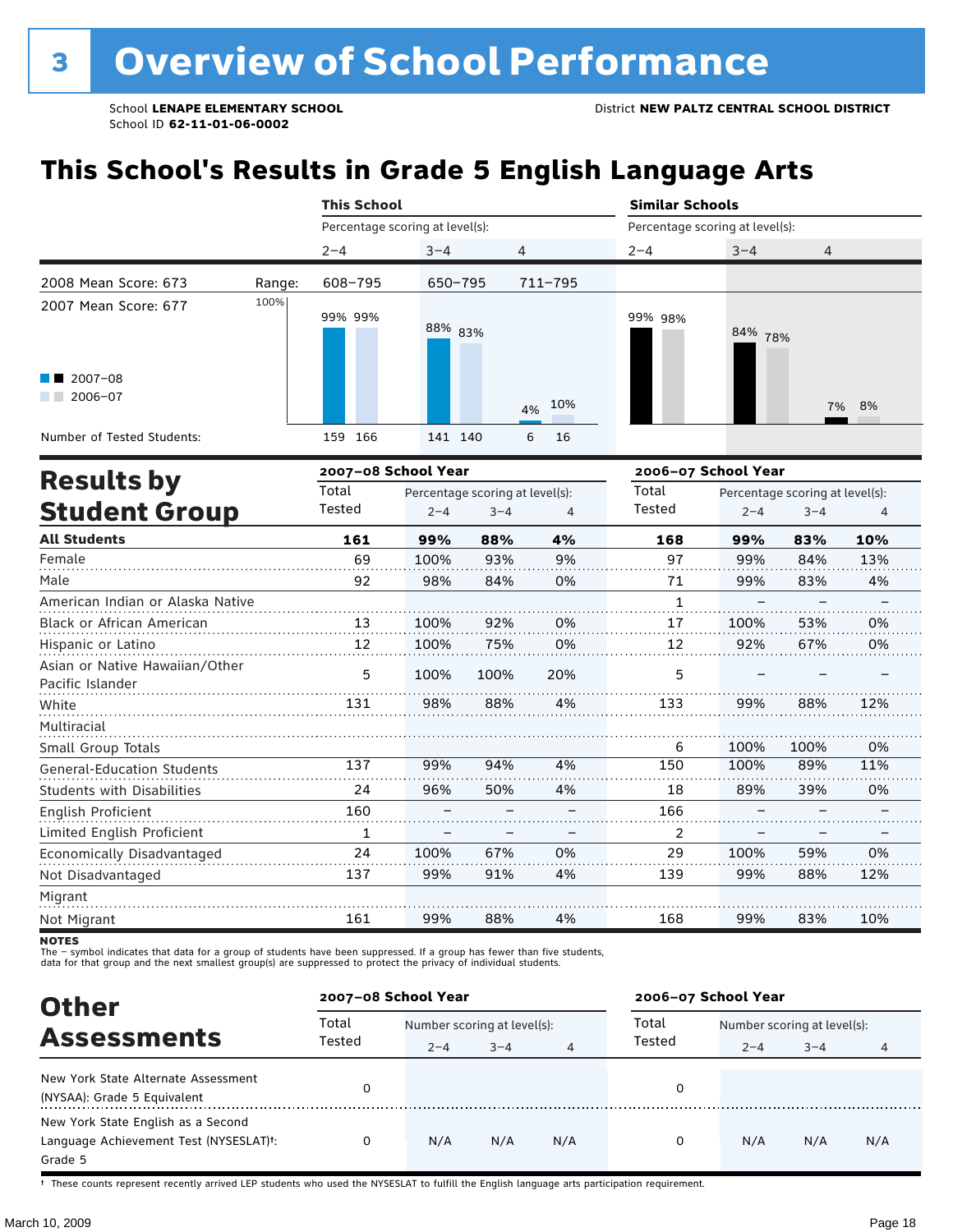# **This School's Results in Grade 5 English Language Arts**

|                                                |        | <b>This School</b>              |         |                                 |           | <b>Similar Schools</b>          |         |                                 |       |  |  |
|------------------------------------------------|--------|---------------------------------|---------|---------------------------------|-----------|---------------------------------|---------|---------------------------------|-------|--|--|
|                                                |        | Percentage scoring at level(s): |         |                                 |           | Percentage scoring at level(s): |         |                                 |       |  |  |
|                                                |        | $2 - 4$                         | $3 - 4$ | 4                               |           | $2 - 4$                         | $3 - 4$ | 4                               |       |  |  |
| 2008 Mean Score: 673                           | Range: | 608-795                         | 650-795 |                                 | 711-795   |                                 |         |                                 |       |  |  |
| 2007 Mean Score: 677<br>$\blacksquare$ 2007-08 | 100%   | 99% 99%                         | 88% 83% |                                 |           | 99% 98%                         | 84% 78% |                                 |       |  |  |
| $2006 - 07$                                    |        |                                 |         |                                 | 10%<br>4% |                                 |         |                                 | 7% 8% |  |  |
| Number of Tested Students:                     |        | 159 166                         | 141 140 |                                 | 6<br>16   |                                 |         |                                 |       |  |  |
|                                                |        | 2007-08 School Year             |         |                                 |           | 2006-07 School Year             |         |                                 |       |  |  |
| <b>Results by</b>                              |        | Total                           |         | Percentage scoring at level(s): |           | Total                           |         | Percentage scoring at level(s): |       |  |  |
| <b>Student Group</b>                           |        | Tested                          | $2 - 4$ | $3 - 4$                         | 4         | Tested                          | $2 - 4$ | $3 - 4$                         | 4     |  |  |
| <b>All Students</b>                            |        | 161                             | 99%     | 88%                             | 4%        | 168                             | 99%     | 83%                             | 10%   |  |  |
| Female                                         |        | 69                              | 100%    | 93%                             | 9%        | 97                              | 99%     | 84%                             | 13%   |  |  |
| Male                                           |        | 92                              | 98%     | 84%                             | 0%        | 71                              | 99%     | 83%                             | 4%    |  |  |
| American Indian or Alaska Native               |        |                                 |         |                                 |           |                                 |         |                                 |       |  |  |

| American Indian or Alaska Native                   |     |      |      |     |               |      |      |     |
|----------------------------------------------------|-----|------|------|-----|---------------|------|------|-----|
| Black or African American                          | 13  | 100% | 92%  | 0%  | 17            | 100% | 53%  | 0%  |
| Hispanic or Latino                                 | 12  | 100% | 75%  | 0%  | 12            | 92%  | 67%  | 0%  |
| Asian or Native Hawaiian/Other<br>Pacific Islander | 5   | 100% | 100% | 20% | 5             |      |      |     |
| White                                              | 131 | 98%  | 88%  | 4%  | 133           | 99%  | 88%  | 12% |
| Multiracial                                        |     |      |      |     |               |      |      |     |
| Small Group Totals                                 |     |      |      |     | 6             | 100% | 100% | 0%  |
| <b>General-Education Students</b>                  | 137 | 99%  | 94%  | 4%  | 150           | 100% | 89%  | 11% |
| <b>Students with Disabilities</b>                  | 24  | 96%  | 50%  | 4%  | 18            | 89%  | 39%  | 0%  |
| English Proficient                                 | 160 |      |      |     | 166           |      |      |     |
| Limited English Proficient                         |     |      |      |     | $\mathcal{P}$ |      |      |     |
| Economically Disadvantaged                         | 24  | 100% | 67%  | 0%  | 29            | 100% | 59%  | 0%  |
| Not Disadvantaged                                  | 137 | 99%  | 91%  | 4%  | 139           | 99%  | 88%  | 12% |
| Migrant                                            |     |      |      |     |               |      |      |     |
| Not Migrant                                        | 161 | 99%  | 88%  | 4%  | 168           | 99%  | 83%  | 10% |

**NOTES** 

The – symbol indicates that data for a group of students have been suppressed. If a group has fewer than five students,<br>data for that group and the next smallest group(s) are suppressed to protect the privacy of individual

| <b>Other</b>                                                                                         | 2007-08 School Year |                                        |         |     | 2006-07 School Year |                                        |         |     |  |
|------------------------------------------------------------------------------------------------------|---------------------|----------------------------------------|---------|-----|---------------------|----------------------------------------|---------|-----|--|
| <b>Assessments</b>                                                                                   | Total<br>Tested     | Number scoring at level(s):<br>$2 - 4$ | $3 - 4$ |     | Total<br>Tested     | Number scoring at level(s):<br>$2 - 4$ | $3 - 4$ | 4   |  |
| New York State Alternate Assessment<br>(NYSAA): Grade 5 Equivalent                                   |                     |                                        |         |     | 0                   |                                        |         |     |  |
| New York State English as a Second<br>Language Achievement Test (NYSESLAT) <sup>+</sup> :<br>Grade 5 |                     | N/A                                    | N/A     | N/A | 0                   | N/A                                    | N/A     | N/A |  |

† These counts represent recently arrived LEP students who used the NYSESLAT to fulfill the English language arts participation requirement.